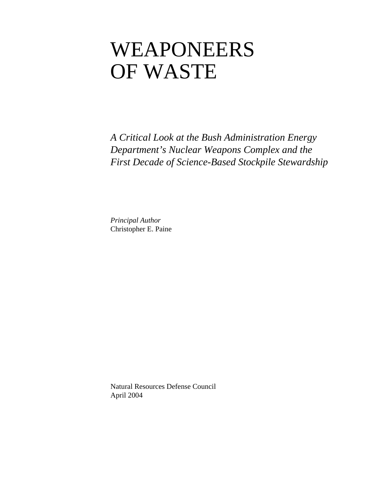# WEAPONEERS OF WASTE

*A Critical Look at the Bush Administration Energy Department's Nuclear Weapons Complex and the First Decade of Science-Based Stockpile Stewardship* 

*Principal Author*  Christopher E. Paine

Natural Resources Defense Council April 2004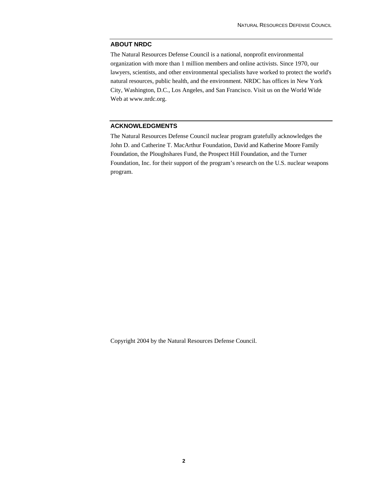### **ABOUT NRDC**

The Natural Resources Defense Council is a national, nonprofit environmental organization with more than 1 million members and online activists. Since 1970, our lawyers, scientists, and other environmental specialists have worked to protect the world's natural resources, public health, and the environment. NRDC has offices in New York City, Washington, D.C., Los Angeles, and San Francisco. Visit us on the World Wide Web at www.nrdc.org.

### **ACKNOWLEDGMENTS**

The Natural Resources Defense Council nuclear program gratefully acknowledges the John D. and Catherine T. MacArthur Foundation, David and Katherine Moore Family Foundation, the Ploughshares Fund, the Prospect Hill Foundation, and the Turner Foundation, Inc. for their support of the program's research on the U.S. nuclear weapons program.

Copyright 2004 by the Natural Resources Defense Council.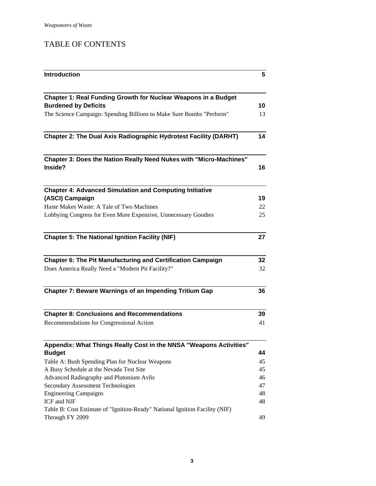## TABLE OF CONTENTS

| <b>Introduction</b>                                                           | 5  |
|-------------------------------------------------------------------------------|----|
|                                                                               |    |
| Chapter 1: Real Funding Growth for Nuclear Weapons in a Budget                |    |
| <b>Burdened by Deficits</b>                                                   | 10 |
| The Science Campaign: Spending Billions to Make Sure Bombs "Perform"          | 13 |
| <b>Chapter 2: The Dual Axis Radiographic Hydrotest Facility (DARHT)</b>       | 14 |
| Chapter 3: Does the Nation Really Need Nukes with "Micro-Machines"<br>Inside? | 16 |
|                                                                               |    |
| <b>Chapter 4: Advanced Simulation and Computing Initiative</b>                |    |
| (ASCI) Campaign                                                               | 19 |
| Haste Makes Waste: A Tale of Two Machines                                     | 22 |
| Lobbying Congress for Even More Expensive, Unnecessary Goodies                | 25 |
| <b>Chapter 5: The National Ignition Facility (NIF)</b>                        | 27 |
| <b>Chapter 6: The Pit Manufacturing and Certification Campaign</b>            | 32 |
| Does America Really Need a "Modern Pit Facility?"                             | 32 |
| Chapter 7: Beware Warnings of an Impending Tritium Gap                        | 36 |
| <b>Chapter 8: Conclusions and Recommendations</b>                             | 39 |
| Recommendations for Congressional Action                                      | 41 |
| Appendix: What Things Really Cost in the NNSA "Weapons Activities"            |    |
| <b>Budget</b>                                                                 | 44 |
| Table A: Bush Spending Plan for Nuclear Weapons                               | 45 |
| A Busy Schedule at the Nevada Test Site                                       | 45 |
| Advanced Radiography and Plutonium Avlis                                      | 46 |
| <b>Secondary Assessment Technologies</b>                                      | 47 |
| <b>Engineering Campaigns</b>                                                  | 48 |
| ICF and NIF                                                                   | 48 |
| Table B: Cost Estimate of "Ignition-Ready" National Ignition Facility (NIF)   |    |
| Through FY 2009                                                               | 49 |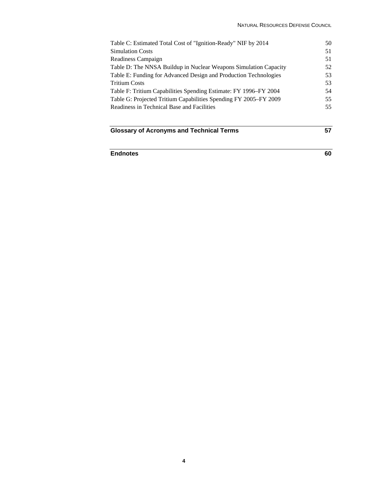| <b>Glossary of Acronyms and Technical Terms</b>                  | 57 |
|------------------------------------------------------------------|----|
|                                                                  |    |
| Readiness in Technical Base and Facilities                       | 55 |
| Table G: Projected Tritium Capabilities Spending FY 2005–FY 2009 | 55 |
| Table F: Tritium Capabilities Spending Estimate: FY 1996–FY 2004 | 54 |
| <b>Tritium Costs</b>                                             | 53 |
| Table E: Funding for Advanced Design and Production Technologies | 53 |
| Table D: The NNSA Buildup in Nuclear Weapons Simulation Capacity | 52 |
| Readiness Campaign                                               | 51 |
| <b>Simulation Costs</b>                                          | 51 |
| Table C: Estimated Total Cost of "Ignition-Ready" NIF by 2014    | 50 |
|                                                                  |    |

## **Endnotes 60**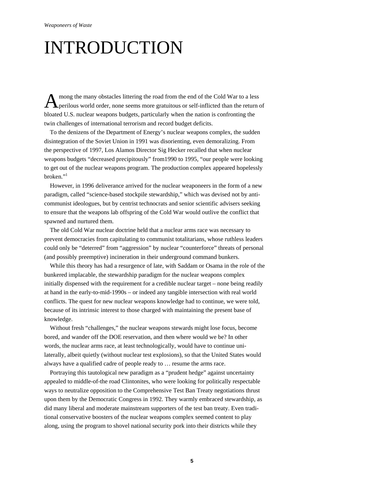## INTRODUCTION

mong the many obstacles littering the road from the end of the Cold War to a less A mong the many obstacles littering the road from the end of the Cold War to a less<br>perilous world order, none seems more gratuitous or self-inflicted than the return of bloated U.S. nuclear weapons budgets, particularly when the nation is confronting the twin challenges of international terrorism and record budget deficits.

To the denizens of the Department of Energy's nuclear weapons complex, the sudden disintegration of the Soviet Union in 1991 was disorienting, even demoralizing. From the perspective of 1997, Los Alamos Director Sig Hecker recalled that when nuclear weapons budgets "decreased precipitously" from1990 to 1995, "our people were looking to get out of the nuclear weapons program. The production complex appeared hopelessly broken."1

However, in 1996 deliverance arrived for the nuclear weaponeers in the form of a new paradigm, called "science-based stockpile stewardship," which was devised not by anticommunist ideologues, but by centrist technocrats and senior scientific advisers seeking to ensure that the weapons lab offspring of the Cold War would outlive the conflict that spawned and nurtured them.

The old Cold War nuclear doctrine held that a nuclear arms race was necessary to prevent democracies from capitulating to communist totalitarians, whose ruthless leaders could only be "deterred" from "aggression" by nuclear "counterforce" threats of personal (and possibly preemptive) incineration in their underground command bunkers.

While this theory has had a resurgence of late, with Saddam or Osama in the role of the bunkered implacable, the stewardship paradigm for the nuclear weapons complex initially dispensed with the requirement for a credible nuclear target – none being readily at hand in the early-to-mid-1990s – or indeed any tangible intersection with real world conflicts. The quest for new nuclear weapons knowledge had to continue, we were told, because of its intrinsic interest to those charged with maintaining the present base of knowledge.

Without fresh "challenges," the nuclear weapons stewards might lose focus, become bored, and wander off the DOE reservation, and then where would we be? In other words, the nuclear arms race, at least technologically, would have to continue unilaterally, albeit quietly (without nuclear test explosions), so that the United States would always have a qualified cadre of people ready to … resume the arms race.

Portraying this tautological new paradigm as a "prudent hedge" against uncertainty appealed to middle-of-the road Clintonites, who were looking for politically respectable ways to neutralize opposition to the Comprehensive Test Ban Treaty negotiations thrust upon them by the Democratic Congress in 1992. They warmly embraced stewardship, as did many liberal and moderate mainstream supporters of the test ban treaty. Even traditional conservative boosters of the nuclear weapons complex seemed content to play along, using the program to shovel national security pork into their districts while they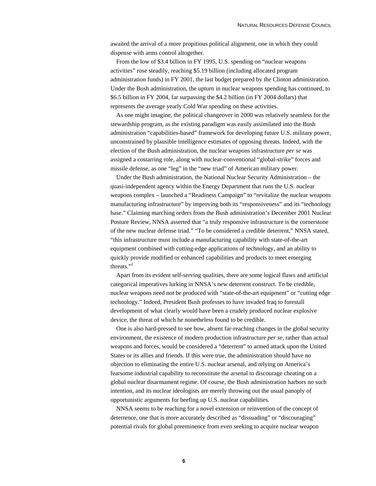awaited the arrival of a more propitious political alignment, one in which they could dispense with arms control altogether.

From the low of \$3.4 billion in FY 1995, U.S. spending on "nuclear weapons activities" rose steadily, reaching \$5.19 billion (including allocated program administration funds) in FY 2001, the last budget prepared by the Clinton administration. Under the Bush administration, the upturn in nuclear weapons spending has continued, to \$6.5 billion in FY 2004, far surpassing the \$4.2 billion (in FY 2004 dollars) that represents the average yearly Cold War spending on these activities.

As one might imagine, the political changeover in 2000 was relatively seamless for the stewardship program, as the existing paradigm was easily assimilated into the Bush administration "capabilities-based" framework for developing future U.S. military power, unconstrained by plausible intelligence estimates of opposing threats. Indeed, with the election of the Bush administration, the nuclear weapons infrastructure *per se* was assigned a costarring role, along with nuclear-conventional "global-strike" forces and missile defense, as one "leg" in the "new triad" of American military power.

Under the Bush administration, the National Nuclear Security Administration – the quasi-independent agency within the Energy Department that runs the U.S. nuclear weapons complex – launched a "Readiness Campaign" to "revitalize the nuclear weapons manufacturing infrastructure" by improving both its "responsiveness" and its "technology base." Claiming marching orders from the Bush administration's December 2001 Nuclear Posture Review, NNSA asserted that "a truly responsive infrastructure is the cornerstone of the new nuclear defense triad." "To be considered a credible deterrent," NNSA stated, "this infrastructure must include a manufacturing capability with state-of-the-art equipment combined with cutting-edge applications of technology, and an ability to quickly provide modified or enhanced capabilities and products to meet emerging threats."<sup>2</sup>

Apart from its evident self-serving qualities, there are some logical flaws and artificial categorical imperatives lurking in NNSA's new deterrent construct. To be credible, nuclear weapons need not be produced with "state-of-the-art equipment" or "cutting edge technology." Indeed, President Bush professes to have invaded Iraq to forestall development of what clearly would have been a crudely produced nuclear explosive device, the threat of which he nonetheless found to be credible.

One is also hard-pressed to see how, absent far-reaching changes in the global security environment, the existence of modern production infrastructure *per se*, rather than actual weapons and forces, would be considered a "deterrent" to armed attack upon the United States or its allies and friends. If this were true, the administration should have no objection to eliminating the entire U.S. nuclear arsenal, and relying on America's fearsome industrial capability to reconstitute the arsenal to discourage cheating on a global nuclear disarmament regime. Of course, the Bush administration harbors no such intention, and its nuclear ideologists are merely throwing out the usual panoply of opportunistic arguments for beefing up U.S. nuclear capabilities.

NNSA seems to be reaching for a novel extension or reinvention of the concept of deterrence, one that is more accurately described as "dissuading" or "discouraging" potential rivals for global preeminence from even seeking to acquire nuclear weapon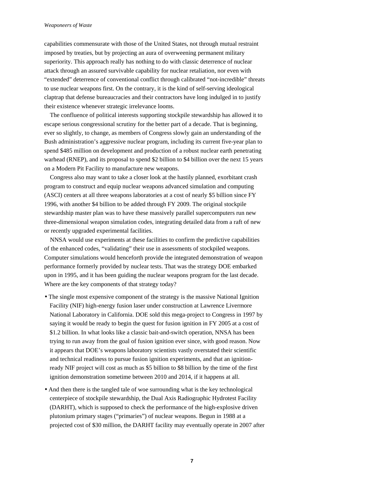#### *Weaponeers of Waste*

capabilities commensurate with those of the United States, not through mutual restraint imposed by treaties, but by projecting an aura of overweening permanent military superiority. This approach really has nothing to do with classic deterrence of nuclear attack through an assured survivable capability for nuclear retaliation, nor even with "extended" deterrence of conventional conflict through calibrated "not-incredible" threats to use nuclear weapons first. On the contrary, it is the kind of self-serving ideological claptrap that defense bureaucracies and their contractors have long indulged in to justify their existence whenever strategic irrelevance looms.

The confluence of political interests supporting stockpile stewardship has allowed it to escape serious congressional scrutiny for the better part of a decade. That is beginning, ever so slightly, to change, as members of Congress slowly gain an understanding of the Bush administration's aggressive nuclear program, including its current five-year plan to spend \$485 million on development and production of a robust nuclear earth penetrating warhead (RNEP), and its proposal to spend \$2 billion to \$4 billion over the next 15 years on a Modern Pit Facility to manufacture new weapons.

Congress also may want to take a closer look at the hastily planned, exorbitant crash program to construct and equip nuclear weapons advanced simulation and computing (ASCI) centers at all three weapons laboratories at a cost of nearly \$5 billion since FY 1996, with another \$4 billion to be added through FY 2009. The original stockpile stewardship master plan was to have these massively parallel supercomputers run new three-dimensional weapon simulation codes, integrating detailed data from a raft of new or recently upgraded experimental facilities.

NNSA would use experiments at these facilities to confirm the predictive capabilities of the enhanced codes, "validating" their use in assessments of stockpiled weapons. Computer simulations would henceforth provide the integrated demonstration of weapon performance formerly provided by nuclear tests. That was the strategy DOE embarked upon in 1995, and it has been guiding the nuclear weapons program for the last decade. Where are the key components of that strategy today?

- The single most expensive component of the strategy is the massive National Ignition Facility (NIF) high-energy fusion laser under construction at Lawrence Livermore National Laboratory in California. DOE sold this mega-project to Congress in 1997 by saying it would be ready to begin the quest for fusion ignition in FY 2005 at a cost of \$1.2 billion. In what looks like a classic bait-and-switch operation, NNSA has been trying to run away from the goal of fusion ignition ever since, with good reason. Now it appears that DOE's weapons laboratory scientists vastly overstated their scientific and technical readiness to pursue fusion ignition experiments, and that an ignitionready NIF project will cost as much as \$5 billion to \$8 billion by the time of the first ignition demonstration sometime between 2010 and 2014, if it happens at all.
- And then there is the tangled tale of woe surrounding what is the key technological centerpiece of stockpile stewardship, the Dual Axis Radiographic Hydrotest Facility (DARHT), which is supposed to check the performance of the high-explosive driven plutonium primary stages ("primaries") of nuclear weapons. Begun in 1988 at a projected cost of \$30 million, the DARHT facility may eventually operate in 2007 after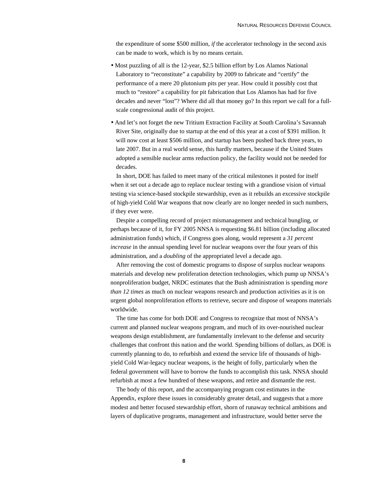the expenditure of some \$500 million, *if* the accelerator technology in the second axis can be made to work, which is by no means certain.

- Most puzzling of all is the 12-year, \$2.5 billion effort by Los Alamos National Laboratory to "reconstitute" a capability by 2009 to fabricate and "certify" the performance of a mere 20 plutonium pits per year. How could it possibly cost that much to "restore" a capability for pit fabrication that Los Alamos has had for five decades and never "lost"? Where did all that money go? In this report we call for a fullscale congressional audit of this project.
- And let's not forget the new Tritium Extraction Facility at South Carolina's Savannah River Site, originally due to startup at the end of this year at a cost of \$391 million. It will now cost at least \$506 million, and startup has been pushed back three years, to late 2007. But in a real world sense, this hardly matters, because if the United States adopted a sensible nuclear arms reduction policy, the facility would not be needed for decades.

In short, DOE has failed to meet many of the critical milestones it posted for itself when it set out a decade ago to replace nuclear testing with a grandiose vision of virtual testing via science-based stockpile stewardship, even as it rebuilds an excessive stockpile of high-yield Cold War weapons that now clearly are no longer needed in such numbers, if they ever were.

Despite a compelling record of project mismanagement and technical bungling, or perhaps because of it, for FY 2005 NNSA is requesting \$6.81 billion (including allocated administration funds) which, if Congress goes along, would represent a *31 percent increase* in the annual spending level for nuclear weapons over the four years of this administration, and a *doubling* of the appropriated level a decade ago*.*

After removing the cost of domestic programs to dispose of surplus nuclear weapons materials and develop new proliferation detection technologies, which pump up NNSA's nonproliferation budget, NRDC estimates that the Bush administration is spending *more than 12 times* as much on nuclear weapons research and production activities as it is on urgent global nonproliferation efforts to retrieve, secure and dispose of weapons materials worldwide.

The time has come for both DOE and Congress to recognize that most of NNSA's current and planned nuclear weapons program, and much of its over-nourished nuclear weapons design establishment, are fundamentally irrelevant to the defense and security challenges that confront this nation and the world. Spending billions of dollars, as DOE is currently planning to do, to refurbish and extend the service life of thousands of highyield Cold War-legacy nuclear weapons, is the height of folly, particularly when the federal government will have to borrow the funds to accomplish this task. NNSA should refurbish at most a few hundred of these weapons, and retire and dismantle the rest.

The body of this report, and the accompanying program cost estimates in the Appendix, explore these issues in considerably greater detail, and suggests that a more modest and better focused stewardship effort, shorn of runaway technical ambitions and layers of duplicative programs, management and infrastructure, would better serve the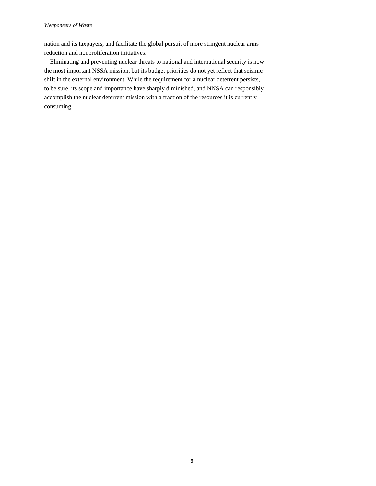nation and its taxpayers, and facilitate the global pursuit of more stringent nuclear arms reduction and nonproliferation initiatives.

Eliminating and preventing nuclear threats to national and international security is now the most important NSSA mission, but its budget priorities do not yet reflect that seismic shift in the external environment. While the requirement for a nuclear deterrent persists, to be sure, its scope and importance have sharply diminished, and NNSA can responsibly accomplish the nuclear deterrent mission with a fraction of the resources it is currently consuming.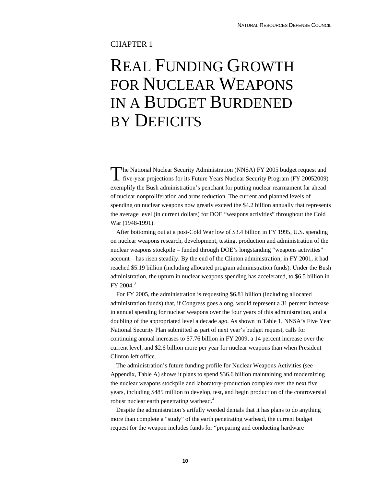## CHAPTER 1

## REAL FUNDING GROWTH FOR NUCLEAR WEAPONS IN A BUDGET BURDENED BY DEFICITS

The National Nuclear Security Administration (NNSA) FY 2005 budget request and The National Nuclear Security Administration (NNSA) FY 2005 budget request and five-year projections for its Future Years Nuclear Security Program (FY 20052009) exemplify the Bush administration's penchant for putting nuclear rearmament far ahead of nuclear nonproliferation and arms reduction. The current and planned levels of spending on nuclear weapons now greatly exceed the \$4.2 billion annually that represents the average level (in current dollars) for DOE "weapons activities" throughout the Cold War (1948-1991).

After bottoming out at a post-Cold War low of \$3.4 billion in FY 1995, U.S. spending on nuclear weapons research, development, testing, production and administration of the nuclear weapons stockpile – funded through DOE's longstanding "weapons activities" account – has risen steadily. By the end of the Clinton administration, in FY 2001, it had reached \$5.19 billion (including allocated program administration funds). Under the Bush administration, the upturn in nuclear weapons spending has accelerated, to \$6.5 billion in  $FY$  2004.<sup>3</sup>

For FY 2005, the administration is requesting \$6.81 billion (including allocated administration funds) that, if Congress goes along, would represent a 31 percent increase in annual spending for nuclear weapons over the four years of this administration, and a doubling of the appropriated level a decade ago. As shown in Table 1, NNSA's Five Year National Security Plan submitted as part of next year's budget request, calls for continuing annual increases to \$7.76 billion in FY 2009, a 14 percent increase over the current level, and \$2.6 billion more per year for nuclear weapons than when President Clinton left office.

The administration's future funding profile for Nuclear Weapons Activities (see Appendix, Table A) shows it plans to spend \$36.6 billion maintaining and modernizing the nuclear weapons stockpile and laboratory-production complex over the next five years, including \$485 million to develop, test, and begin production of the controversial robust nuclear earth penetrating warhead.<sup>4</sup>

Despite the administration's artfully worded denials that it has plans to do anything more than complete a "study" of the earth penetrating warhead, the current budget request for the weapon includes funds for "preparing and conducting hardware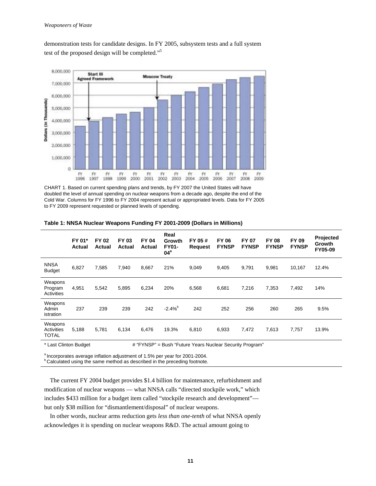demonstration tests for candidate designs. In FY 2005, subsystem tests and a full system test of the proposed design will be completed."5



CHART 1. Based on current spending plans and trends, by FY 2007 the United States will have doubled the level of annual spending on nuclear weapons from a decade ago, despite the end of the Cold War. Columns for FY 1996 to FY 2004 represent actual or appropriated levels. Data for FY 2005 to FY 2009 represent requested or planned levels of spending.

|                                           | FY 01*<br><b>Actual</b> | <b>FY 02</b><br>Actual | FY 03<br>Actual | <b>FY 04</b><br><b>Actual</b>                | Real<br>Growth<br><b>FY01-</b><br>04 <sup>a</sup> | FY 05#<br><b>Request</b>                   | <b>FY 06</b><br><b>FYNSP</b> | <b>FY 07</b><br><b>FYNSP</b> | <b>FY 08</b><br><b>FYNSP</b> | FY 09<br><b>FYNSP</b> | Projected<br>Growth<br>FY05-09 |
|-------------------------------------------|-------------------------|------------------------|-----------------|----------------------------------------------|---------------------------------------------------|--------------------------------------------|------------------------------|------------------------------|------------------------------|-----------------------|--------------------------------|
| <b>NNSA</b><br><b>Budget</b>              | 6,827                   | 7,585                  | 7,940           | 8,667                                        | 21%                                               | 9,049                                      | 9,405                        | 9,791                        | 9,981                        | 10,167                | 12.4%                          |
| Weapons<br>Program<br>Activities          | 4,951                   | 5,542                  | 5,895           | 6,234                                        | 20%                                               | 6,568                                      | 6,681                        | 7,216                        | 7,353                        | 7,492                 | 14%                            |
| Weapons<br>Admin<br>istration             | 237                     | 239                    | 239             | 242                                          | $-2.4%^{b}$                                       | 242                                        | 252                          | 256                          | 260                          | 265                   | 9.5%                           |
| Weapons<br>Activities<br><b>TOTAL</b>     | 5,188                   | 5,781                  | 6,134           | 6,476                                        | 19.3%                                             | 6,810                                      | 6,933                        | 7,472                        | 7,613                        | 7,757                 | 13.9%                          |
| $+1$ and $-0$ $-1$ and $-1$ $-1$ and $-1$ |                         |                        |                 | $\mu$ $\mu$ $\sim$ $\mu$ $\sim$ $\sim$ $\mu$ |                                                   | Deal SEaton Marie Martine Organic December |                              |                              |                              |                       |                                |

**Table 1: NNSA Nuclear Weapons Funding FY 2001-2009 (Dollars in Millions)** 

Last Clinton Budget **#** "FYNSP" = Bush "Future Years Nuclear Security Program"

<sup>a</sup> Incorporates average inflation adjustment of 1.5% per year for 2001-2004.

**b Calculated using the same method as described in the preceding footnote.** 

The current FY 2004 budget provides \$1.4 billion for maintenance, refurbishment and modification of nuclear weapons — what NNSA calls "directed stockpile work," which includes \$433 million for a budget item called "stockpile research and development" but only \$38 million for "dismantlement/disposal" of nuclear weapons.

In other words, nuclear arms reduction gets *less than one-tenth* of what NNSA openly acknowledges it is spending on nuclear weapons R&D. The actual amount going to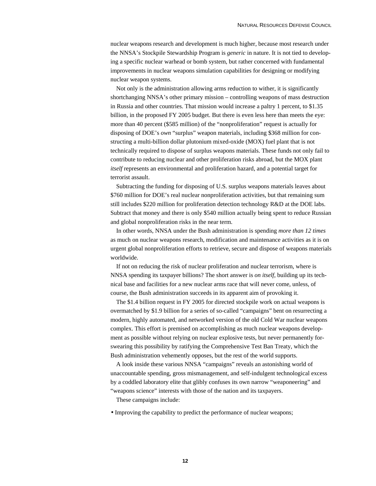nuclear weapons research and development is much higher, because most research under the NNSA's Stockpile Stewardship Program is *generic* in nature. It is not tied to developing a specific nuclear warhead or bomb system, but rather concerned with fundamental improvements in nuclear weapons simulation capabilities for designing or modifying nuclear weapon systems.

Not only is the administration allowing arms reduction to wither, it is significantly shortchanging NNSA's other primary mission – controlling weapons of mass destruction in Russia and other countries. That mission would increase a paltry 1 percent, to \$1.35 billion, in the proposed FY 2005 budget. But there is even less here than meets the eye: more than 40 percent (\$585 million) of the "nonproliferation" request is actually for disposing of DOE's *own* "surplus" weapon materials, including \$368 million for constructing a multi-billion dollar plutonium mixed-oxide (MOX) fuel plant that is not technically required to dispose of surplus weapons materials. These funds not only fail to contribute to reducing nuclear and other proliferation risks abroad, but the MOX plant *itself* represents an environmental and proliferation hazard, and a potential target for terrorist assault.

Subtracting the funding for disposing of U.S. surplus weapons materials leaves about \$760 million for DOE's real nuclear nonproliferation activities, but that remaining sum still includes \$220 million for proliferation detection technology R&D at the DOE labs. Subtract that money and there is only \$540 million actually being spent to reduce Russian and global nonproliferation risks in the near term.

In other words, NNSA under the Bush administration is spending *more than 12 times* as much on nuclear weapons research, modification and maintenance activities as it is on urgent global nonproliferation efforts to retrieve, secure and dispose of weapons materials worldwide.

If not on reducing the risk of nuclear proliferation and nuclear terrorism, where is NNSA spending its taxpayer billions? The short answer is *on itself*, building up its technical base and facilities for a new nuclear arms race that will never come, unless, of course, the Bush administration succeeds in its apparent aim of provoking it.

The \$1.4 billion request in FY 2005 for directed stockpile work on actual weapons is overmatched by \$1.9 billion for a series of so-called "campaigns" bent on resurrecting a modern, highly automated, and networked version of the old Cold War nuclear weapons complex. This effort is premised on accomplishing as much nuclear weapons development as possible without relying on nuclear explosive tests, but never permanently forswearing this possibility by ratifying the Comprehensive Test Ban Treaty, which the Bush administration vehemently opposes, but the rest of the world supports.

A look inside these various NNSA "campaigns" reveals an astonishing world of unaccountable spending, gross mismanagement, and self-indulgent technological excess by a coddled laboratory elite that glibly confuses its own narrow "weaponeering" and "weapons science" interests with those of the nation and its taxpayers.

These campaigns include:

• Improving the capability to predict the performance of nuclear weapons;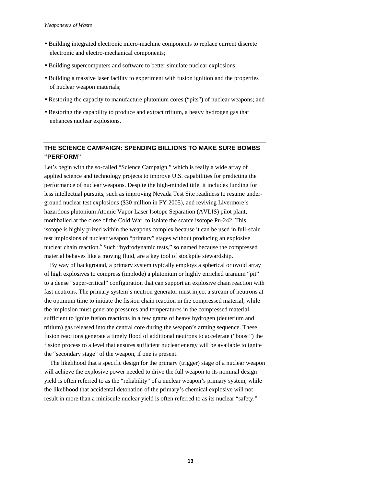- Building integrated electronic micro-machine components to replace current discrete electronic and electro-mechanical components;
- Building supercomputers and software to better simulate nuclear explosions;
- Building a massive laser facility to experiment with fusion ignition and the properties of nuclear weapon materials;
- Restoring the capacity to manufacture plutonium cores ("pits") of nuclear weapons; and
- Restoring the capability to produce and extract tritium, a heavy hydrogen gas that enhances nuclear explosions.

## **THE SCIENCE CAMPAIGN: SPENDING BILLIONS TO MAKE SURE BOMBS "PERFORM"**

Let's begin with the so-called "Science Campaign," which is really a wide array of applied science and technology projects to improve U.S. capabilities for predicting the performance of nuclear weapons. Despite the high-minded title, it includes funding for less intellectual pursuits, such as improving Nevada Test Site readiness to resume underground nuclear test explosions (\$30 million in FY 2005), and reviving Livermore's hazardous plutonium Atomic Vapor Laser Isotope Separation (AVLIS) pilot plant, mothballed at the close of the Cold War, to isolate the scarce isotope Pu-242. This isotope is highly prized within the weapons complex because it can be used in full-scale test implosions of nuclear weapon "primary" stages without producing an explosive nuclear chain reaction.<sup>6</sup> Such "hydrodynamic tests," so named because the compressed material behaves like a moving fluid, are a key tool of stockpile stewardship.

By way of background, a primary system typically employs a spherical or ovoid array of high explosives to compress (implode) a plutonium or highly enriched uranium "pit" to a dense "super-critical" configuration that can support an explosive chain reaction with fast neutrons. The primary system's neutron generator must inject a stream of neutrons at the optimum time to initiate the fission chain reaction in the compressed material, while the implosion must generate pressures and temperatures in the compressed material sufficient to ignite fusion reactions in a few grams of heavy hydrogen (deuterium and tritium) gas released into the central core during the weapon's arming sequence. These fusion reactions generate a timely flood of additional neutrons to accelerate ("boost") the fission process to a level that ensures sufficient nuclear energy will be available to ignite the "secondary stage" of the weapon, if one is present.

The likelihood that a specific design for the primary (trigger) stage of a nuclear weapon will achieve the explosive power needed to drive the full weapon to its nominal design yield is often referred to as the "reliability" of a nuclear weapon's primary system, while the likelihood that accidental detonation of the primary's chemical explosive will not result in more than a miniscule nuclear yield is often referred to as its nuclear "safety."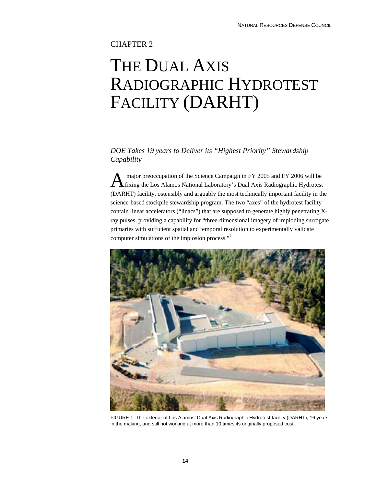## CHAPTER 2

## THE DUAL AXIS RADIOGRAPHIC HYDROTEST FACILITY (DARHT)

## *DOE Takes 19 years to Deliver its "Highest Priority" Stewardship Capability*

 major preoccupation of the Science Campaign in FY 2005 and FY 2006 will be A major preoccupation of the Science Campaign in FY 2005 and FY 2006 will be fixing the Los Alamos National Laboratory's Dual Axis Radiographic Hydrotest (DARHT) facility, ostensibly and arguably the most technically important facility in the science-based stockpile stewardship program. The two "axes" of the hydrotest facility contain linear accelerators ("linacs") that are supposed to generate highly penetrating Xray pulses, providing a capability for "three-dimensional imagery of imploding surrogate primaries with sufficient spatial and temporal resolution to experimentally validate computer simulations of the implosion process."7



FIGURE 1: The exterior of Los Alamos' Dual Axis Radiographic Hydrotest facility (DARHT), 16 years in the making, and still not working at more than 10 times its originally proposed cost.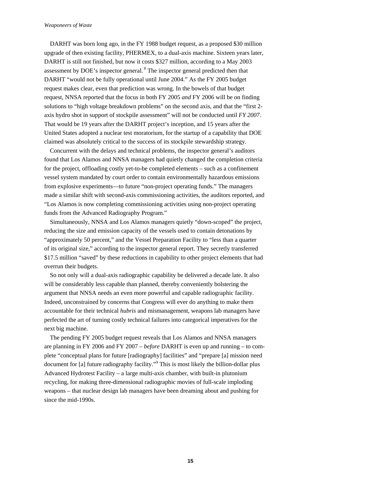#### *Weaponeers of Waste*

DARHT was born long ago, in the FY 1988 budget request, as a proposed \$30 million upgrade of then existing facility, PHERMEX, to a dual-axis machine. Sixteen years later, DARHT is still not finished, but now it costs \$327 million, according to a May 2003 assessment by DOE's inspector general. 8 The inspector general predicted then that DARHT "would not be fully operational until June 2004." As the FY 2005 budget request makes clear, even that prediction was wrong. In the bowels of that budget request, NNSA reported that the focus in both FY 2005 *and* FY 2006 will be on finding solutions to "high voltage breakdown problems" on the second axis, and that the "first 2 axis hydro shot in support of stockpile assessment" will not be conducted until *FY 2007*. That would be 19 years after the DARHT project's inception, and 15 years after the United States adopted a nuclear test moratorium, for the startup of a capability that DOE claimed was absolutely critical to the success of its stockpile stewardship strategy.

Concurrent with the delays and technical problems, the inspector general's auditors found that Los Alamos and NNSA managers had quietly changed the completion criteria for the project, offloading costly yet-to-be completed elements – such as a confinement vessel system mandated by court order to contain environmentally hazardous emissions from explosive experiments—to future "non-project operating funds." The managers made a similar shift with second-axis commissioning activities, the auditors reported, and "Los Alamos is now completing commissioning activities using non-project operating funds from the Advanced Radiography Program."

Simultaneously, NNSA and Los Alamos managers quietly "down-scoped" the project, reducing the size and emission capacity of the vessels used to contain detonations by "approximately 50 percent," and the Vessel Preparation Facility to "less than a quarter of its original size," according to the inspector general report. They secretly transferred \$17.5 million "saved" by these reductions in capability to other project elements that had overrun their budgets.

So not only will a dual-axis radiographic capability be delivered a decade late. It also will be considerably less capable than planned, thereby conveniently bolstering the argument that NNSA needs an even more powerful and capable radiographic facility. Indeed, unconstrained by concerns that Congress will ever do anything to make them accountable for their technical *hubris* and mismanagement, weapons lab managers have perfected the art of turning costly technical failures into categorical imperatives for the next big machine.

The pending FY 2005 budget request reveals that Los Alamos and NNSA managers are planning in FY 2006 and FY 2007 – *before* DARHT is even up and running – to complete "conceptual plans for future [radiography] facilities" and "prepare [a] mission need document for [a] future radiography facility."<sup>9</sup> This is most likely the billion-dollar plus Advanced Hydrotest Facility – a large multi-axis chamber, with built-in plutonium recycling, for making three-dimensional radiographic movies of full-scale imploding weapons – that nuclear design lab managers have been dreaming about and pushing for since the mid-1990s.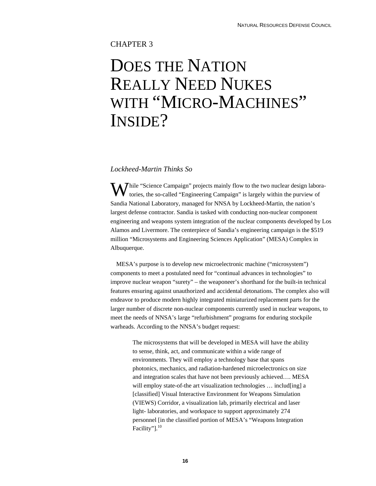## CHAPTER 3

## DOES THE NATION REALLY NEED NUKES WITH "MICRO-MACHINES" INSIDE?

### *Lockheed-Martin Thinks So*

While "Science Campaign" projects mainly flow to the two nuclear design laboratories, the so-called "Engineering Campaign" is largely within the purview of tories, the so-called "Engineering Campaign" is largely within the purview of Sandia National Laboratory, managed for NNSA by Lockheed-Martin, the nation's largest defense contractor. Sandia is tasked with conducting non-nuclear component engineering and weapons system integration of the nuclear components developed by Los Alamos and Livermore. The centerpiece of Sandia's engineering campaign is the \$519 million "Microsystems and Engineering Sciences Application" (MESA) Complex in Albuquerque.

MESA's purpose is to develop new microelectronic machine ("microsystem") components to meet a postulated need for "continual advances in technologies" to improve nuclear weapon "surety" – the weaponeer's shorthand for the built-in technical features ensuring against unauthorized and accidental detonations. The complex also will endeavor to produce modern highly integrated miniaturized replacement parts for the larger number of discrete non-nuclear components currently used in nuclear weapons, to meet the needs of NNSA's large "refurbishment" programs for enduring stockpile warheads. According to the NNSA's budget request:

The microsystems that will be developed in MESA will have the ability to sense, think, act, and communicate within a wide range of environments. They will employ a technology base that spans photonics, mechanics, and radiation-hardened microelectronics on size and integration scales that have not been previously achieved…. MESA will employ state-of-the art visualization technologies ... includ[ing] a [classified] Visual Interactive Environment for Weapons Simulation (VIEWS) Corridor, a visualization lab, primarily electrical and laser light- laboratories, and workspace to support approximately 274 personnel [in the classified portion of MESA's "Weapons Integration Facility"].<sup>10</sup>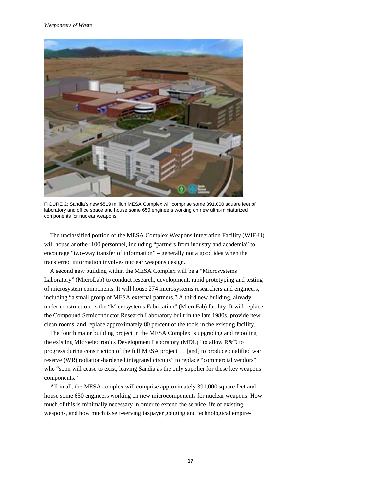

FIGURE 2: Sandia's new \$519 million MESA Complex will comprise some 391,000 square feet of laboratory and office space and house some 650 engineers working on new ultra-miniaturized components for nuclear weapons.

The unclassified portion of the MESA Complex Weapons Integration Facility (WIF-U) will house another 100 personnel, including "partners from industry and academia" to encourage "two-way transfer of information" – generally not a good idea when the transferred information involves nuclear weapons design.

A second new building within the MESA Complex will be a "Microsystems Laboratory" (MicroLab) to conduct research, development, rapid prototyping and testing of microsystem components. It will house 274 microsystems researchers and engineers, including "a small group of MESA external partners." A third new building, already under construction, is the "Microsystems Fabrication" (MicroFab) facility. It will replace the Compound Semiconductor Research Laboratory built in the late 1980s, provide new clean rooms, and replace approximately 80 percent of the tools in the existing facility.

The fourth major building project in the MESA Complex is upgrading and retooling the existing Microelectronics Development Laboratory (MDL) "to allow R&D to progress during construction of the full MESA project … [and] to produce qualified war reserve (WR) radiation-hardened integrated circuits" to replace "commercial vendors" who "soon will cease to exist, leaving Sandia as the only supplier for these key weapons components."

All in all, the MESA complex will comprise approximately 391,000 square feet and house some 650 engineers working on new microcomponents for nuclear weapons. How much of this is minimally necessary in order to extend the service life of existing weapons, and how much is self-serving taxpayer gouging and technological empire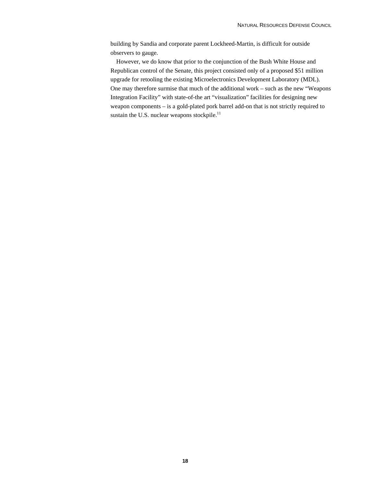building by Sandia and corporate parent Lockheed-Martin, is difficult for outside observers to gauge.

However, we do know that prior to the conjunction of the Bush White House and Republican control of the Senate, this project consisted only of a proposed \$51 million upgrade for retooling the existing Microelectronics Development Laboratory (MDL). One may therefore surmise that much of the additional work – such as the new "Weapons Integration Facility" with state-of-the art "visualization" facilities for designing new weapon components – is a gold-plated pork barrel add-on that is not strictly required to sustain the U.S. nuclear weapons stockpile.<sup>11</sup>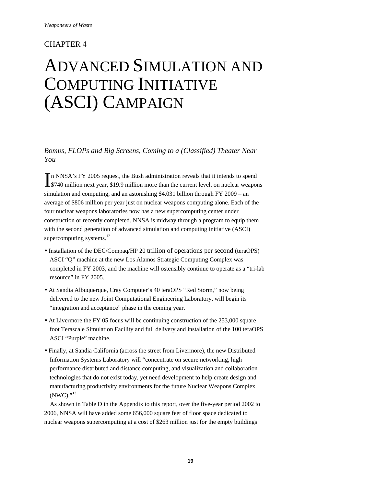## CHAPTER 4

## ADVANCED SIMULATION AND COMPUTING INITIATIVE (ASCI) CAMPAIGN

*Bombs, FLOPs and Big Screens, Coming to a (Classified) Theater Near You* 

n NNSA's FY 2005 request, the Bush administration reveals that it intends to spend In NNSA's FY 2005 request, the Bush administration reveals that it intends to spend<br>\$740 million next year, \$19.9 million more than the current level, on nuclear weapons simulation and computing, and an astonishing \$4.031 billion through FY 2009 – an average of \$806 million per year just on nuclear weapons computing alone. Each of the four nuclear weapons laboratories now has a new supercomputing center under construction or recently completed. NNSA is midway through a program to equip them with the second generation of advanced simulation and computing initiative (ASCI) supercomputing systems. $^{12}$ 

- Installation of the DEC/Compaq/HP 20 trillion of operations per second (teraOPS) ASCI "Q" machine at the new Los Alamos Strategic Computing Complex was completed in FY 2003, and the machine will ostensibly continue to operate as a "tri-lab resource" in FY 2005.
- At Sandia Albuquerque, Cray Computer's 40 teraOPS "Red Storm," now being delivered to the new Joint Computational Engineering Laboratory, will begin its "integration and acceptance" phase in the coming year.
- At Livermore the FY 05 focus will be continuing construction of the 253,000 square foot Terascale Simulation Facility and full delivery and installation of the 100 teraOPS ASCI "Purple" machine.
- Finally, at Sandia California (across the street from Livermore), the new Distributed Information Systems Laboratory will "concentrate on secure networking, high performance distributed and distance computing, and visualization and collaboration technologies that do not exist today, yet need development to help create design and manufacturing productivity environments for the future Nuclear Weapons Complex (NWC)."13

As shown in Table D in the Appendix to this report, over the five-year period 2002 to 2006, NNSA will have added some 656,000 square feet of floor space dedicated to nuclear weapons supercomputing at a cost of \$263 million just for the empty buildings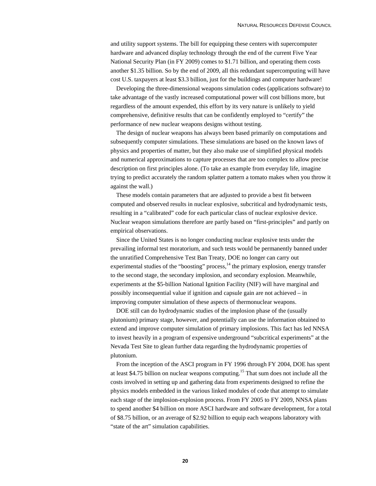and utility support systems. The bill for equipping these centers with supercomputer hardware and advanced display technology through the end of the current Five Year National Security Plan (in FY 2009) comes to \$1.71 billion, and operating them costs another \$1.35 billion. So by the end of 2009, all this redundant supercomputing will have cost U.S. taxpayers at least \$3.3 billion, just for the buildings and computer hardware!

Developing the three-dimensional weapons simulation codes (applications software) to take advantage of the vastly increased computational power will cost billions more, but regardless of the amount expended, this effort by its very nature is unlikely to yield comprehensive, definitive results that can be confidently employed to "certify" the performance of new nuclear weapons designs without testing.

The design of nuclear weapons has always been based primarily on computations and subsequently computer simulations. These simulations are based on the known laws of physics and properties of matter, but they also make use of simplified physical models and numerical approximations to capture processes that are too complex to allow precise description on first principles alone. (To take an example from everyday life, imagine trying to predict accurately the random splatter pattern a tomato makes when you throw it against the wall.)

These models contain parameters that are adjusted to provide a best fit between computed and observed results in nuclear explosive, subcritical and hydrodynamic tests, resulting in a "calibrated" code for each particular class of nuclear explosive device. Nuclear weapon simulations therefore are partly based on "first-principles" and partly on empirical observations.

Since the United States is no longer conducting nuclear explosive tests under the prevailing informal test moratorium, and such tests would be permanently banned under the unratified Comprehensive Test Ban Treaty, DOE no longer can carry out experimental studies of the "boosting" process, $<sup>14</sup>$  the primary explosion, energy transfer</sup> to the second stage, the secondary implosion, and secondary explosion. Meanwhile, experiments at the \$5-billion National Ignition Facility (NIF) will have marginal and possibly inconsequential value if ignition and capsule gain are not achieved – in improving computer simulation of these aspects of thermonuclear weapons.

DOE still can do hydrodynamic studies of the implosion phase of the (usually plutonium) primary stage, however, and potentially can use the information obtained to extend and improve computer simulation of primary implosions. This fact has led NNSA to invest heavily in a program of expensive underground "subcritical experiments" at the Nevada Test Site to glean further data regarding the hydrodynamic properties of plutonium.

From the inception of the ASCI program in FY 1996 through FY 2004, DOE has spent at least \$4.75 billion on nuclear weapons computing.15 That sum does not include all the costs involved in setting up and gathering data from experiments designed to refine the physics models embedded in the various linked modules of code that attempt to simulate each stage of the implosion-explosion process. From FY 2005 to FY 2009, NNSA plans to spend another \$4 billion on more ASCI hardware and software development, for a total of \$8.75 billion, or an average of \$2.92 billion to equip each weapons laboratory with "state of the art" simulation capabilities.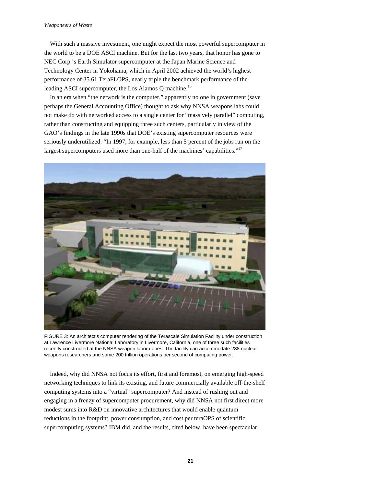#### *Weaponeers of Waste*

With such a massive investment, one might expect the most powerful supercomputer in the world to be a DOE ASCI machine. But for the last two years, that honor has gone to NEC Corp.'s Earth Simulator supercomputer at the Japan Marine Science and Technology Center in Yokohama, which in April 2002 achieved the world's highest performance of 35.61 TeraFLOPS, nearly triple the benchmark performance of the leading ASCI supercomputer, the Los Alamos Q machine.<sup>16</sup>

In an era when "the network is the computer," apparently no one in government (save perhaps the General Accounting Office) thought to ask why NNSA weapons labs could not make do with networked access to a single center for "massively parallel" computing, rather than constructing and equipping three such centers, particularly in view of the GAO's findings in the late 1990s that DOE's existing supercomputer resources were seriously underutilized: "In 1997, for example, less than 5 percent of the jobs run on the largest supercomputers used more than one-half of the machines' capabilities."<sup>17</sup>



FIGURE 3: An architect's computer rendering of the Terascale Simulation Facility under construction at Lawrence Livermore National Laboratory in Livermore, California, one of three such facilities recently constructed at the NNSA weapon laboratories. The facility can accommodate 288 nuclear weapons researchers and some 200 trillion operations per second of computing power.

Indeed, why did NNSA not focus its effort, first and foremost, on emerging high-speed networking techniques to link its existing, and future commercially available off-the-shelf computing systems into a "virtual" supercomputer? And instead of rushing out and engaging in a frenzy of supercomputer procurement, why did NNSA not first direct more modest sums into R&D on innovative architectures that would enable quantum reductions in the footprint, power consumption, and cost per teraOPS of scientific supercomputing systems? IBM did, and the results, cited below, have been spectacular.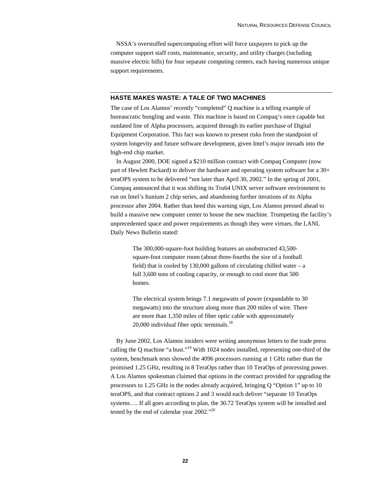NSSA's overstuffed supercomputing effort will force taxpayers to pick up the computer support staff costs, maintenance, security, and utility charges (including massive electric bills) for four separate computing centers, each having numerous unique support requirements.

#### **HASTE MAKES WASTE: A TALE OF TWO MACHINES**

The case of Los Alamos' recently "completed" Q machine is a telling example of bureaucratic bungling and waste. This machine is based on Compaq's once capable but outdated line of Alpha processors, acquired through its earlier purchase of Digital Equipment Corporation. This fact was known to present risks from the standpoint of system longevity and future software development, given Intel's major inroads into the high-end chip market.

In August 2000, DOE signed a \$210 million contract with Compaq Computer (now part of Hewlett Packard) to deliver the hardware and operating system software for a 30+ teraOPS system to be delivered "not later than April 30, 2002." In the spring of 2001, Compaq announced that it was shifting its Tru64 UNIX server software environment to run on Intel's Itanium 2 chip series, and abandoning further iterations of its Alpha processor after 2004. Rather than heed this warning sign, Los Alamos pressed ahead to build a massive new computer center to house the new machine. Trumpeting the facility's unprecedented space and power requirements as though they were virtues, the LANL Daily News Bulletin stated:

The 300,000-square-foot building features an unobstructed 43,500 square-foot computer room (about three-fourths the size of a football field) that is cooled by 130,000 gallons of circulating chilled water – a full 3,600 tons of cooling capacity, or enough to cool more that 500 homes.

The electrical system brings 7.1 megawatts of power (expandable to 30 megawatts) into the structure along more than 200 miles of wire. There are more than 1,350 miles of fiber optic cable with approximately  $20,000$  individual fiber optic terminals.<sup>18</sup>

By June 2002, Los Alamos insiders were writing anonymous letters to the trade press calling the Q machine "a bust."19 With 1024 nodes installed, representing one-third of the system, benchmark tests showed the 4096 processors running at 1 GHz rather than the promised 1.25 GHz, resulting in 8 TeraOps rather than 10 TeraOps of processing power. A Los Alamos spokesman claimed that options in the contract provided for upgrading the processors to 1.25 GHz in the nodes already acquired, bringing Q "Option 1" up to 10 teraOPS, and that contract options 2 and 3 would each deliver "separate 10 TeraOps systems…. If all goes according to plan, the 30.72 TeraOps system will be installed and tested by the end of calendar year 2002."<sup>20</sup>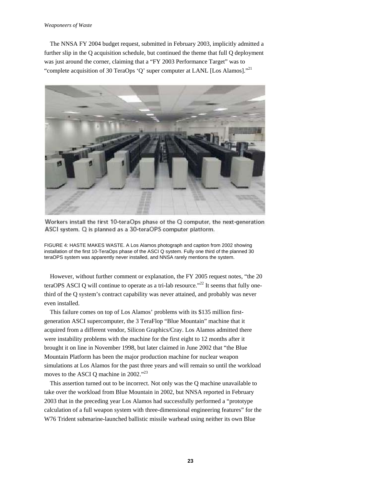#### *Weaponeers of Waste*

The NNSA FY 2004 budget request, submitted in February 2003, implicitly admitted a further slip in the Q acquisition schedule, but continued the theme that full Q deployment was just around the corner, claiming that a "FY 2003 Performance Target" was to "complete acquisition of 30 TeraOps 'Q' super computer at LANL [Los Alamos]."<sup>21</sup>



Workers install the first 10-teraOps phase of the Q computer, the next-generation ASCI system. Q is planned as a 30-teraOPS computer platform.

FIGURE 4: HASTE MAKES WASTE. A Los Alamos photograph and caption from 2002 showing installation of the first 10-TeraOps phase of the ASCI Q system. Fully one third of the planned 30 teraOPS system was apparently never installed, and NNSA rarely mentions the system.

However, without further comment or explanation, the FY 2005 request notes, "the 20 teraOPS ASCI Q will continue to operate as a tri-lab resource."<sup>22</sup> It seems that fully onethird of the Q system's contract capability was never attained, and probably was never even installed.

This failure comes on top of Los Alamos' problems with its \$135 million firstgeneration ASCI supercomputer, the 3 TeraFlop "Blue Mountain" machine that it acquired from a different vendor, Silicon Graphics/Cray. Los Alamos admitted there were instability problems with the machine for the first eight to 12 months after it brought it on line in November 1998, but later claimed in June 2002 that "the Blue Mountain Platform has been the major production machine for nuclear weapon simulations at Los Alamos for the past three years and will remain so until the workload moves to the ASCI Q machine in 2002."<sup>23</sup>

This assertion turned out to be incorrect. Not only was the Q machine unavailable to take over the workload from Blue Mountain in 2002, but NNSA reported in February 2003 that in the preceding year Los Alamos had successfully performed a "prototype calculation of a full weapon system with three-dimensional engineering features" for the W76 Trident submarine-launched ballistic missile warhead using neither its own Blue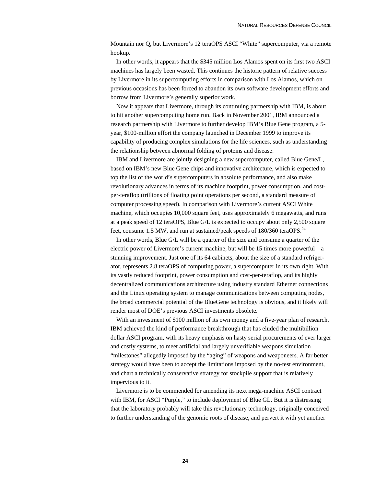Mountain nor Q, but Livermore's 12 teraOPS ASCI "White" supercomputer, via a remote hookup.

In other words, it appears that the \$345 million Los Alamos spent on its first two ASCI machines has largely been wasted. This continues the historic pattern of relative success by Livermore in its supercomputing efforts in comparison with Los Alamos, which on previous occasions has been forced to abandon its own software development efforts and borrow from Livermore's generally superior work.

Now it appears that Livermore, through its continuing partnership with IBM, is about to hit another supercomputing home run. Back in November 2001, IBM announced a research partnership with Livermore to further develop IBM's Blue Gene program, a 5 year, \$100-million effort the company launched in December 1999 to improve its capability of producing complex simulations for the life sciences, such as understanding the relationship between abnormal folding of proteins and disease.

IBM and Livermore are jointly designing a new supercomputer, called Blue Gene/L, based on IBM's new Blue Gene chips and innovative architecture, which is expected to top the list of the world's supercomputers in absolute performance, and also make revolutionary advances in terms of its machine footprint, power consumption, and costper-teraflop (trillions of floating point operations per second, a standard measure of computer processing speed). In comparison with Livermore's current ASCI White machine, which occupies 10,000 square feet, uses approximately 6 megawatts, and runs at a peak speed of 12 teraOPS, Blue G/L is expected to occupy about only 2,500 square feet, consume 1.5 MW, and run at sustained/peak speeds of 180/360 teraOPS.<sup>24</sup>

In other words, Blue G/L will be a quarter of the size and consume a quarter of the electric power of Livermore's current machine, but will be 15 times more powerful – a stunning improvement. Just one of its 64 cabinets, about the size of a standard refrigerator, represents 2.8 teraOPS of computing power, a supercomputer in its own right. With its vastly reduced footprint, power consumption and cost-per-teraflop, and its highly decentralized communications architecture using industry standard Ethernet connections and the Linux operating system to manage communications between computing nodes, the broad commercial potential of the BlueGene technology is obvious, and it likely will render most of DOE's previous ASCI investments obsolete.

With an investment of \$100 million of its own money and a five-year plan of research, IBM achieved the kind of performance breakthrough that has eluded the multibillion dollar ASCI program, with its heavy emphasis on hasty serial procurements of ever larger and costly systems, to meet artificial and largely unverifiable weapons simulation "milestones" allegedly imposed by the "aging" of weapons and weaponeers. A far better strategy would have been to accept the limitations imposed by the no-test environment, and chart a technically conservative strategy for stockpile support that is relatively impervious to it.

Livermore is to be commended for amending its next mega-machine ASCI contract with IBM, for ASCI "Purple," to include deployment of Blue GL. But it is distressing that the laboratory probably will take this revolutionary technology, originally conceived to further understanding of the genomic roots of disease, and pervert it with yet another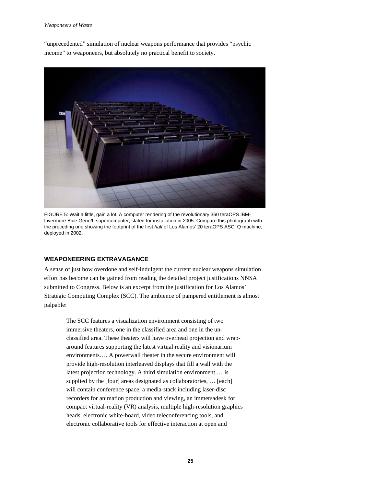#### *Weaponeers of Waste*

"unprecedented" simulation of nuclear weapons performance that provides "psychic income" to weaponeers, but absolutely no practical benefit to society.



FIGURE 5: Wait a little, gain a lot. A computer rendering of the revolutionary 360 teraOPS IBM-Livermore Blue Gene/L supercomputer, slated for installation in 2005. Compare this photograph with the preceding one showing the footprint of the first *half* of Los Alamos' 20 teraOPS ASCI Q machine, deployed in 2002.

#### **WEAPONEERING EXTRAVAGANCE**

A sense of just how overdone and self-indulgent the current nuclear weapons simulation effort has become can be gained from reading the detailed project justifications NNSA submitted to Congress. Below is an excerpt from the justification for Los Alamos' Strategic Computing Complex (SCC). The ambience of pampered entitlement is almost palpable:

The SCC features a visualization environment consisting of two immersive theaters, one in the classified area and one in the unclassified area. These theaters will have overhead projection and wraparound features supporting the latest virtual reality and visionarium environments…. A powerwall theater in the secure environment will provide high-resolution interleaved displays that fill a wall with the latest projection technology. A third simulation environment … is supplied by the [four] areas designated as collaboratories, ... [each] will contain conference space, a media-stack including laser-disc recorders for animation production and viewing, an immersadesk for compact virtual-reality (VR) analysis, multiple high-resolution graphics heads, electronic white-board, video teleconferencing tools, and electronic collaborative tools for effective interaction at open and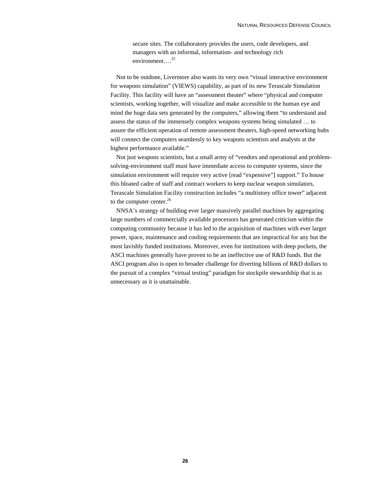secure sites. The collaboratory provides the users, code developers, and managers with an informal, information- and technology rich environment....<sup>25</sup>

Not to be outdone, Livermore also wants its very own "visual interactive environment for weapons simulation" (VIEWS) capability, as part of its new Terascale Simulation Facility. This facility will have an "assessment theater" where "physical and computer scientists, working together, will visualize and make accessible to the human eye and mind the huge data sets generated by the computers," allowing them "to understand and assess the status of the immensely complex weapons systems being simulated … to assure the efficient operation of remote assessment theaters, high-speed networking hubs will connect the computers seamlessly to key weapons scientists and analysts at the highest performance available."

Not just weapons scientists, but a small army of "vendors and operational and problemsolving-environment staff must have immediate access to computer systems, since the simulation environment will require very active [read "expensive"] support." To house this bloated cadre of staff and contract workers to keep nuclear weapon simulators, Terascale Simulation Facility construction includes "a multistory office tower" adjacent to the computer center.<sup>26</sup>

NNSA's strategy of building ever larger massively parallel machines by aggregating large numbers of commercially available processors has generated criticism within the computing community because it has led to the acquisition of machines with ever larger power, space, maintenance and cooling requirements that are impractical for any but the most lavishly funded institutions. Moreover, even for institutions with deep pockets, the ASCI machines generally have proven to be an ineffective use of R&D funds. But the ASCI program also is open to broader challenge for diverting billions of R&D dollars to the pursuit of a complex "virtual testing" paradigm for stockpile stewardship that is as unnecessary as it is unattainable.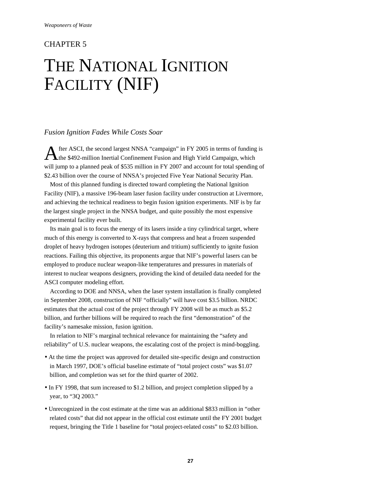## CHAPTER 5

## THE NATIONAL IGNITION FACILITY (NIF)

### *Fusion Ignition Fades While Costs Soar*

fter ASCI, the second largest NNSA "campaign" in FY 2005 in terms of funding is A fter ASCI, the second largest NNSA "campaign" in FY 2005 in terms of funding<br>the \$492-million Inertial Confinement Fusion and High Yield Campaign, which will jump to a planned peak of \$535 million in FY 2007 and account for total spending of \$2.43 billion over the course of NNSA's projected Five Year National Security Plan.

Most of this planned funding is directed toward completing the National Ignition Facility (NIF), a massive 196-beam laser fusion facility under construction at Livermore, and achieving the technical readiness to begin fusion ignition experiments. NIF is by far the largest single project in the NNSA budget, and quite possibly the most expensive experimental facility ever built.

Its main goal is to focus the energy of its lasers inside a tiny cylindrical target, where much of this energy is converted to X-rays that compress and heat a frozen suspended droplet of heavy hydrogen isotopes (deuterium and tritium) sufficiently to ignite fusion reactions. Failing this objective, its proponents argue that NIF's powerful lasers can be employed to produce nuclear weapon-like temperatures and pressures in materials of interest to nuclear weapons designers, providing the kind of detailed data needed for the ASCI computer modeling effort.

According to DOE and NNSA, when the laser system installation is finally completed in September 2008, construction of NIF "officially" will have cost \$3.5 billion. NRDC estimates that the actual cost of the project through FY 2008 will be as much as \$5.2 billion, and further billions will be required to reach the first "demonstration" of the facility's namesake mission, fusion ignition.

In relation to NIF's marginal technical relevance for maintaining the "safety and reliability" of U.S. nuclear weapons, the escalating cost of the project is mind-boggling.

- At the time the project was approved for detailed site-specific design and construction in March 1997, DOE's official baseline estimate of "total project costs" was \$1.07 billion, and completion was set for the third quarter of 2002.
- In FY 1998, that sum increased to \$1.2 billion, and project completion slipped by a year, to "3Q 2003."
- Unrecognized in the cost estimate at the time was an additional \$833 million in "other related costs" that did not appear in the official cost estimate until the FY 2001 budget request, bringing the Title 1 baseline for "total project-related costs" to \$2.03 billion.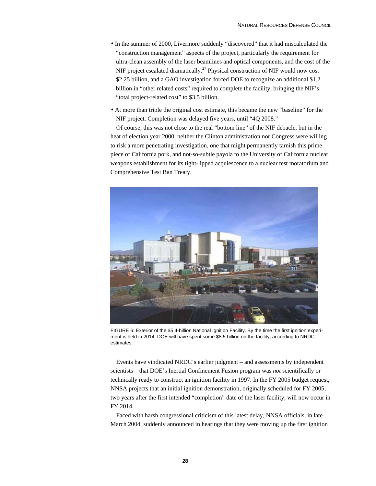- In the summer of 2000, Livermore suddenly "discovered" that it had miscalculated the "construction management" aspects of the project, particularly the requirement for ultra-clean assembly of the laser beamlines and optical components, and the cost of the NIF project escalated dramatically.<sup>27</sup> Physical construction of NIF would now cost \$2.25 billion, and a GAO investigation forced DOE to recognize an additional \$1.2 billion in "other related costs" required to complete the facility, bringing the NIF's "total project-related cost" to \$3.5 billion.
- At more than triple the original cost estimate, this became the new "baseline" for the NIF project. Completion was delayed five years, until "4Q 2008."

Of course, this was not close to the real "bottom line" of the NIF debacle, but in the heat of election year 2000, neither the Clinton administration nor Congress were willing to risk a more penetrating investigation, one that might permanently tarnish this prime piece of California pork, and not-so-subtle payola to the University of California nuclear weapons establishment for its tight-lipped acquiescence to a nuclear test moratorium and Comprehensive Test Ban Treaty.



FIGURE 6: Exterior of the \$5.4-billion National Ignition Facility. By the time the first ignition experiment is held in 2014, DOE will have spent some \$8.5 billion on the facility, according to NRDC estimates.

Events have vindicated NRDC's earlier judgment – and assessments by independent scientists – that DOE's Inertial Confinement Fusion program was *not* scientifically or technically ready to construct an ignition facility in 1997. In the FY 2005 budget request, NNSA projects that an initial ignition demonstration, originally scheduled for FY 2005, two years after the first intended "completion" date of the laser facility, will now occur in FY 2014.

Faced with harsh congressional criticism of this latest delay, NNSA officials, in late March 2004, suddenly announced in hearings that they were moving up the first ignition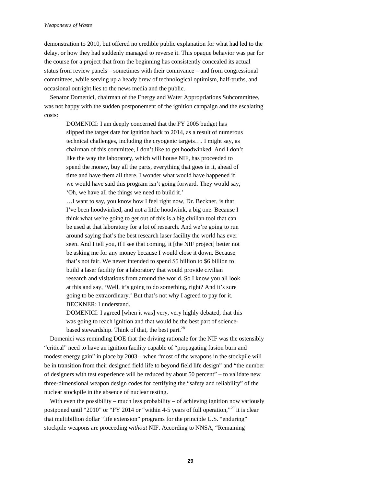demonstration to 2010, but offered no credible public explanation for what had led to the delay, or how they had suddenly managed to reverse it. This opaque behavior was par for the course for a project that from the beginning has consistently concealed its actual status from review panels – sometimes with their connivance – and from congressional committees, while serving up a heady brew of technological optimism, half-truths, and occasional outright lies to the news media and the public.

Senator Domenici, chairman of the Energy and Water Appropriations Subcommittee, was not happy with the sudden postponement of the ignition campaign and the escalating costs:

DOMENICI: I am deeply concerned that the FY 2005 budget has slipped the target date for ignition back to 2014, as a result of numerous technical challenges, including the cryogenic targets…. I might say, as chairman of this committee, I don't like to get hoodwinked. And I don't like the way the laboratory, which will house NIF, has proceeded to spend the money, buy all the parts, everything that goes in it, ahead of time and have them all there. I wonder what would have happened if we would have said this program isn't going forward. They would say, 'Oh, we have all the things we need to build it.'

…I want to say, you know how I feel right now, Dr. Beckner, is that I've been hoodwinked, and not a little hoodwink, a big one. Because I think what we're going to get out of this is a big civilian tool that can be used at that laboratory for a lot of research. And we're going to run around saying that's the best research laser facility the world has ever seen. And I tell you, if I see that coming, it [the NIF project] better not be asking me for any money because I would close it down. Because that's not fair. We never intended to spend \$5 billion to \$6 billion to build a laser facility for a laboratory that would provide civilian research and visitations from around the world. So I know you all look at this and say, 'Well, it's going to do something, right? And it's sure going to be extraordinary.' But that's not why I agreed to pay for it. BECKNER: I understand.

DOMENICI: I agreed [when it was] very, very highly debated, that this was going to reach ignition and that would be the best part of sciencebased stewardship. Think of that, the best part. $^{28}$ 

Domenici was reminding DOE that the driving rationale for the NIF was the ostensibly "critical" need to have an ignition facility capable of "propagating fusion burn and modest energy gain" in place by 2003 – when "most of the weapons in the stockpile will be in transition from their designed field life to beyond field life design" and "the number of designers with test experience will be reduced by about 50 percent" – to validate new three-dimensional weapon design codes for certifying the "safety and reliability" of the nuclear stockpile in the absence of nuclear testing.

With even the possibility – much less probability – of achieving ignition now variously postponed until "2010" or "FY 2014 or "within 4-5 years of full operation,"<sup>29</sup> it is clear that multibillion dollar "life extension" programs for the principle U.S. "enduring" stockpile weapons are proceeding *without* NIF. According to NNSA, "Remaining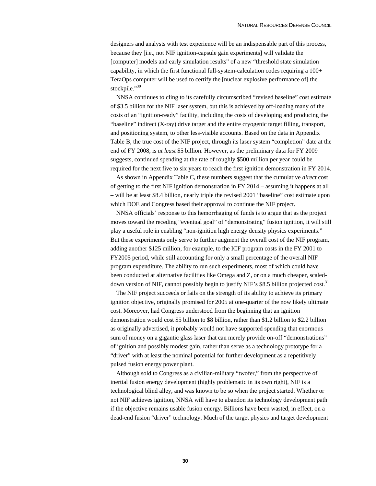designers and analysts with test experience will be an indispensable part of this process, because they [i.e., not NIF ignition-capsule gain experiments] will validate the [computer] models and early simulation results" of a new "threshold state simulation capability, in which the first functional full-system-calculation codes requiring a 100+ TeraOps computer will be used to certify the [nuclear explosive performance of] the stockpile."<sup>30</sup>

NNSA continues to cling to its carefully circumscribed "revised baseline" cost estimate of \$3.5 billion for the NIF laser system, but this is achieved by off-loading many of the costs of an "ignition-ready" facility, including the costs of developing and producing the "baseline" indirect (X-ray) drive target and the entire cryogenic target filling, transport, and positioning system, to other less-visible accounts. Based on the data in Appendix Table B, the true cost of the NIF project, through its laser system "completion" date at the end of FY 2008, is *at least* \$5 billion. However, as the preliminary data for FY 2009 suggests, continued spending at the rate of roughly \$500 million per year could be required for the next five to six years to reach the first ignition demonstration in FY 2014.

As shown in Appendix Table C, these numbers suggest that the cumulative *direct* cost of getting to the first NIF ignition demonstration in FY 2014 – assuming it happens at all – will be at least \$8.4 billion, nearly triple the revised 2001 "baseline" cost estimate upon which DOE and Congress based their approval to continue the NIF project.

NNSA officials' response to this hemorrhaging of funds is to argue that as the project moves toward the receding "eventual goal" of "demonstrating" fusion ignition, it will still play a useful role in enabling "non-ignition high energy density physics experiments." But these experiments only serve to further augment the overall cost of the NIF program, adding another \$125 million, for example, to the ICF program costs in the FY 2001 to FY2005 period, while still accounting for only a small percentage of the overall NIF program expenditure. The ability to run such experiments, most of which could have been conducted at alternative facilities like Omega and Z, or on a much cheaper, scaleddown version of NIF, cannot possibly begin to justify NIF's \$8.5 billion projected cost.<sup>31</sup>

The NIF project succeeds or fails on the strength of its ability to achieve its primary ignition objective, originally promised for 2005 at one-quarter of the now likely ultimate cost. Moreover, had Congress understood from the beginning that an ignition demonstration would cost \$5 billion to \$8 billion, rather than \$1.2 billion to \$2.2 billion as originally advertised, it probably would not have supported spending that enormous sum of money on a gigantic glass laser that can merely provide on-off "demonstrations" of ignition and possibly modest gain, rather than serve as a technology prototype for a "driver" with at least the nominal potential for further development as a repetitively pulsed fusion energy power plant.

Although sold to Congress as a civilian-military "twofer," from the perspective of inertial fusion energy development (highly problematic in its own right), NIF is a technological blind alley, and was known to be so when the project started. Whether or not NIF achieves ignition, NNSA will have to abandon its technology development path if the objective remains usable fusion energy. Billions have been wasted, in effect, on a dead-end fusion "driver" technology. Much of the target physics and target development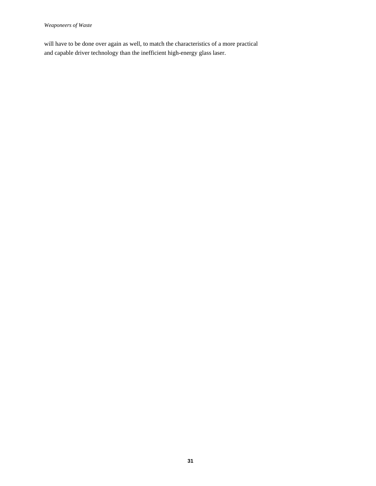will have to be done over again as well, to match the characteristics of a more practical and capable driver technology than the inefficient high-energy glass laser.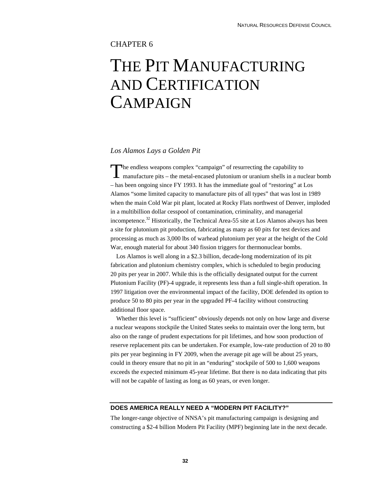## CHAPTER 6

## THE PIT MANUFACTURING AND CERTIFICATION **CAMPAIGN**

#### *Los Alamos Lays a Golden Pit*

he endless weapons complex "campaign" of resurrecting the capability to The endless weapons complex "campaign" of resurrecting the capability to manufacture pits – the metal-encased plutonium or uranium shells in a nuclear bomb – has been ongoing since FY 1993. It has the immediate goal of "restoring" at Los Alamos "some limited capacity to manufacture pits of all types" that was lost in 1989 when the main Cold War pit plant, located at Rocky Flats northwest of Denver, imploded in a multibillion dollar cesspool of contamination, criminality, and managerial incompetence.32 Historically, the Technical Area-55 site at Los Alamos always has been a site for plutonium pit production, fabricating as many as 60 pits for test devices and processing as much as 3,000 lbs of warhead plutonium per year at the height of the Cold War, enough material for about 340 fission triggers for thermonuclear bombs.

Los Alamos is well along in a \$2.3 billion, decade-long modernization of its pit fabrication and plutonium chemistry complex, which is scheduled to begin producing 20 pits per year in 2007. While this is the officially designated output for the current Plutonium Facility (PF)-4 upgrade, it represents less than a full single-shift operation. In 1997 litigation over the environmental impact of the facility, DOE defended its option to produce 50 to 80 pits per year in the upgraded PF-4 facility without constructing additional floor space.

Whether this level is "sufficient" obviously depends not only on how large and diverse a nuclear weapons stockpile the United States seeks to maintain over the long term, but also on the range of prudent expectations for pit lifetimes, and how soon production of reserve replacement pits can be undertaken. For example, low-rate production of 20 to 80 pits per year beginning in FY 2009, when the average pit age will be about 25 years, could in theory ensure that no pit in an "enduring" stockpile of 500 to 1,600 weapons exceeds the expected minimum 45-year lifetime. But there is no data indicating that pits will not be capable of lasting as long as 60 years, or even longer.

### **DOES AMERICA REALLY NEED A "MODERN PIT FACILITY?"**

The longer-range objective of NNSA's pit manufacturing campaign is designing and constructing a \$2-4 billion Modern Pit Facility (MPF) beginning late in the next decade.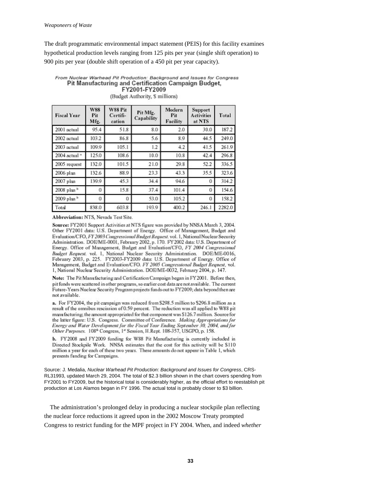The draft programmatic environmental impact statement (PEIS) for this facility examines hypothetical production levels ranging from 125 pits per year (single shift operation) to 900 pits per year (double shift operation of a 450 pit per year capacity).

#### From Nuclear Warhead Pit Production: Background and Issues for Congress Pit Manufacturing and Certification Campaign Budget, FY2001-FY2009 (Budget Authority, \$ millions)

**W88** W88 Pit Modern Support Pit Mfg. **Fiscal Year** Pit Certifi-Pit **Activities** Total Capability Facility Mfg. cation at NTS 95.4 187.2 2001 actual 51.8 8.0  $2.0$ 30.0 2002 actual 103.2 86.8 5.6 8.9 44.5 249.0 2003 actual 109.9 105.1 1.2  $4.2$ 41.5 261.9 2004 actual 108.6 10.0 10.8 42.4 296.8 125.0 2005 request 132.0 101.5 21.0 29.8 52.2 336.5 2006 plan 132.6 23.3 43.3 35.5 323.6 88.9 139.9 314.2 2007 plan 45.3 34.4 94.6 0 2008 plan<sup>b</sup> 0 15.8 37.4 101.4 0 154.6 2009 plan <sup>b</sup> 53.0 105.2 158.2 0 0  $\Omega$ 2282.0 Total 838.0 603.8 193.9 400.2 246.1

Abbreviation: NTS, Nevada Test Site.

Source: FY2001 Support Activities at NTS figure was provided by NNSA March 3, 2004. Other FY2001 data: U.S. Department of Energy. Office of Management, Budget and Evaluation/CFO, FY 2003 Congressional Budget Request. vol. 1, National Nuclear Security Administration. DOE/ME-0001, February 2002, p. 170. FY 2002 data: U.S. Department of Energy. Office of Management, Budget and Evaluation/CFO, FY 2004 Congressional Budget Request. vol. 1, National Nuclear Security Administration. DOE/ME-0016, February 2003, p. 225. FY2003-FY2009 data: U.S. Department of Energy. Office of Management, Budget and Evaluation/CFO. FY 2005 Congressional Budget Request, vol. 1, National Nuclear Security Administration. DOE/ME-0032, February 2004, p. 147.

Note: The Pit Manufacturing and Certification Campaign began in FY 2001. Before then, pit funds were scattered in other programs, so earlier cost data are not available. The current Future-Years Nuclear Security Program projects funds out to FY2009; data beyond then are not available.

a. For FY2004, the pit campaign was reduced from \$298.5 million to \$296.8 million as a result of the omnibus rescission of 0.59 percent. The reduction was all applied to W88 pit manufacturing; the amount appropriated for that component was \$126.7 million. Source for the latter figure: U.S. Congress. Committee of Conference. Making Appropriations for Energy and Water Development for the Fiscal Year Ending September 30, 2004, and for Other Purposes. 108<sup>th</sup> Congress, 1<sup>ª</sup> Session, H.Rept. 108-357, USGPO, p. 158.

b. FY2008 and FY2009 funding for W88 Pit Manufacturing is currently included in Directed Stockpile Work. NNSA estimates that the cost for this activity will be \$110 million a year for each of these two years. These amounts do not appear in Table 1, which presents funding for Campaigns.

Source: J. Medalia, *Nuclear Warhead Pit Production: Background and Issues for Congress*, CRS-RL31993, updated March 29, 2004. The total of \$2.3 billion shown in the chart covers spending from FY2001 to FY2009, but the historical total is considerably higher, as the official effort to reestablish pit production at Los Alamos began in FY 1996. The actual total is probably closer to \$3 billion.

The administration's prolonged delay in producing a nuclear stockpile plan reflecting the nuclear force reductions it agreed upon in the 2002 Moscow Treaty prompted Congress to restrict funding for the MPF project in FY 2004. When, and indeed *whether*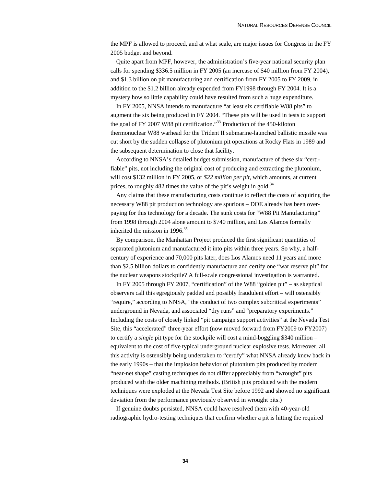the MPF is allowed to proceed, and at what scale, are major issues for Congress in the FY 2005 budget and beyond.

Quite apart from MPF, however, the administration's five-year national security plan calls for spending \$336.5 million in FY 2005 (an increase of \$40 million from FY 2004), and \$1.3 billion on pit manufacturing and certification from FY 2005 to FY 2009, in addition to the \$1.2 billion already expended from FY1998 through FY 2004. It is a mystery how so little capability could have resulted from such a huge expenditure.

In FY 2005, NNSA intends to manufacture "at least six certifiable W88 pits" to augment the six being produced in FY 2004. "These pits will be used in tests to support the goal of FY 2007 W88 pit certification."<sup>33</sup> Production of the 450-kiloton thermonuclear W88 warhead for the Trident II submarine-launched ballistic missile was cut short by the sudden collapse of plutonium pit operations at Rocky Flats in 1989 and the subsequent determination to close that facility.

According to NNSA's detailed budget submission, manufacture of these six "certifiable" pits, not including the original cost of producing and extracting the plutonium, will cost \$132 million in FY 2005, or *\$22 million per pit*, which amounts, at current prices, to roughly  $482$  times the value of the pit's weight in gold.<sup>34</sup>

Any claims that these manufacturing costs continue to reflect the costs of acquiring the necessary W88 pit production technology are spurious – DOE already has been overpaying for this technology for a decade. The sunk costs for "W88 Pit Manufacturing" from 1998 through 2004 alone amount to \$740 million, and Los Alamos formally inherited the mission in 1996.<sup>35</sup>

By comparison, the Manhattan Project produced the first significant quantities of separated plutonium and manufactured it into pits within three years. So why, a halfcentury of experience and 70,000 pits later, does Los Alamos need 11 years and more than \$2.5 billion dollars to confidently manufacture and certify one "war reserve pit" for the nuclear weapons stockpile? A full-scale congressional investigation is warranted.

In FY 2005 through FY 2007, "certification" of the W88 "golden pit" – as skeptical observers call this egregiously padded and possibly fraudulent effort – will ostensibly "require," according to NNSA, "the conduct of two complex subcritical experiments" underground in Nevada, and associated "dry runs" and "preparatory experiments." Including the costs of closely linked "pit campaign support activities" at the Nevada Test Site, this "accelerated" three-year effort (now moved forward from FY2009 to FY2007) to certify a *single* pit type for the stockpile will cost a mind-boggling \$340 million – equivalent to the cost of five typical underground nuclear explosive tests. Moreover, all this activity is ostensibly being undertaken to "certify" what NNSA already knew back in the early 1990s – that the implosion behavior of plutonium pits produced by modern "near-net shape" casting techniques do not differ appreciably from "wrought" pits produced with the older machining methods. (British pits produced with the modern techniques were exploded at the Nevada Test Site before 1992 and showed no significant deviation from the performance previously observed in wrought pits.)

If genuine doubts persisted, NNSA could have resolved them with 40-year-old radiographic hydro-testing techniques that confirm whether a pit is hitting the required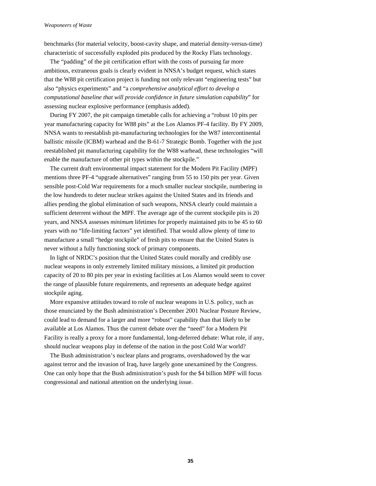#### *Weaponeers of Waste*

benchmarks (for material velocity, boost-cavity shape, and material density-versus-time) characteristic of successfully exploded pits produced by the Rocky Flats technology.

The "padding" of the pit certification effort with the costs of pursuing far more ambitious, extraneous goals is clearly evident in NNSA's budget request, which states that the W88 pit certification project is funding not only relevant "engineering tests" but also "physics experiments" and "a *comprehensive analytical effort to develop a computational baseline that will provide confidence in future simulation capability*" for assessing nuclear explosive performance (emphasis added).

During FY 2007, the pit campaign timetable calls for achieving a "robust 10 pits per year manufacturing capacity for W88 pits" at the Los Alamos PF-4 facility. By FY 2009, NNSA wants to reestablish pit-manufacturing technologies for the W87 intercontinental ballistic missile (ICBM) warhead and the B-61-7 Strategic Bomb. Together with the just reestablished pit manufacturing capability for the W88 warhead, these technologies "will enable the manufacture of other pit types within the stockpile."

The current draft environmental impact statement for the Modern Pit Facility (MPF) mentions three PF-4 "upgrade alternatives" ranging from 55 to 150 pits per year. Given sensible post-Cold War requirements for a much smaller nuclear stockpile, numbering in the low hundreds to deter nuclear strikes against the United States and its friends and allies pending the global elimination of such weapons, NNSA clearly could maintain a sufficient deterrent without the MPF. The average age of the current stockpile pits is 20 years, and NNSA assesses *minimum* lifetimes for properly maintained pits to be 45 to 60 years with no "life-limiting factors" yet identified. That would allow plenty of time to manufacture a small "hedge stockpile" of fresh pits to ensure that the United States is never without a fully functioning stock of primary components.

In light of NRDC's position that the United States could morally and credibly use nuclear weapons in only extremely limited military missions, a limited pit production capacity of 20 to 80 pits per year in existing facilities at Los Alamos would seem to cover the range of plausible future requirements, and represents an adequate hedge against stockpile aging.

More expansive attitudes toward to role of nuclear weapons in U.S. policy, such as those enunciated by the Bush administration's December 2001 Nuclear Posture Review, could lead to demand for a larger and more "robust" capability than that likely to be available at Los Alamos. Thus the current debate over the "need" for a Modern Pit Facility is really a proxy for a more fundamental, long-deferred debate: What role, if any, should nuclear weapons play in defense of the nation in the post Cold War world?

The Bush administration's nuclear plans and programs, overshadowed by the war against terror and the invasion of Iraq, have largely gone unexamined by the Congress. One can only hope that the Bush administration's push for the \$4 billion MPF will focus congressional and national attention on the underlying issue.

**35**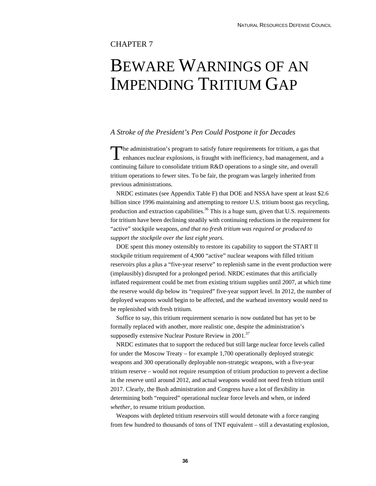## CHAPTER 7

## BEWARE WARNINGS OF AN IMPENDING TRITIUM GAP

### *A Stroke of the President's Pen Could Postpone it for Decades*

The administration's program to satisfy future requirements for tritium, a gas that The administration's program to satisfy future requirements for tritium, a gas that enhances nuclear explosions, is fraught with inefficiency, bad management, and a continuing failure to consolidate tritium R&D operations to a single site, and overall tritium operations to fewer sites. To be fair, the program was largely inherited from previous administrations.

NRDC estimates (see Appendix Table F) that DOE and NSSA have spent at least \$2.6 billion since 1996 maintaining and attempting to restore U.S. tritium boost gas recycling, production and extraction capabilities.<sup>36</sup> This is a huge sum, given that U.S. requirements for tritium have been declining steadily with continuing reductions in the requirement for "active" stockpile weapons, *and that no fresh tritium was required or produced to support the stockpile over the last eight years*.

DOE spent this money ostensibly to restore its capability to support the START II stockpile tritium requirement of 4,900 "active" nuclear weapons with filled tritium reservoirs plus a plus a "five-year reserve" to replenish same in the event production were (implausibly) disrupted for a prolonged period. NRDC estimates that this artificially inflated requirement could be met from existing tritium supplies until 2007, at which time the reserve would dip below its "required" five-year support level. In 2012, the number of deployed weapons would begin to be affected, and the warhead inventory would need to be replenished with fresh tritium.

Suffice to say, this tritium requirement scenario is now outdated but has yet to be formally replaced with another, more realistic one, despite the administration's supposedly extensive Nuclear Posture Review in 2001.<sup>37</sup>

NRDC estimates that to support the reduced but still large nuclear force levels called for under the Moscow Treaty – for example 1,700 operationally deployed strategic weapons and 300 operationally deployable non-strategic weapons, with a five-year tritium reserve – would not require resumption of tritium production to prevent a decline in the reserve until around 2012, and actual weapons would not need fresh tritium until 2017. Clearly, the Bush administration and Congress have a lot of flexibility in determining both "required" operational nuclear force levels and when, or indeed *whether*, to resume tritium production.

Weapons with depleted tritium reservoirs still would detonate with a force ranging from few hundred to thousands of tons of TNT equivalent – still a devastating explosion,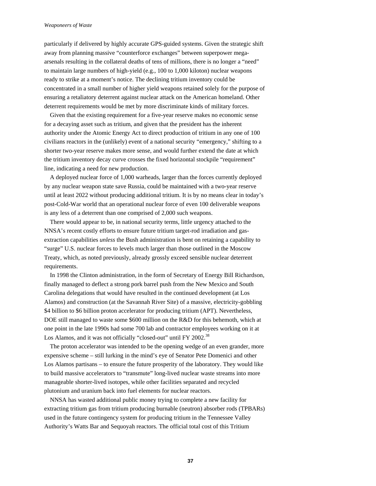#### *Weaponeers of Waste*

particularly if delivered by highly accurate GPS-guided systems. Given the strategic shift away from planning massive "counterforce exchanges" between superpower megaarsenals resulting in the collateral deaths of tens of millions, there is no longer a "need" to maintain large numbers of high-yield (e.g., 100 to 1,000 kiloton) nuclear weapons ready to strike at a moment's notice. The declining tritium inventory could be concentrated in a small number of higher yield weapons retained solely for the purpose of ensuring a retaliatory deterrent against nuclear attack on the American homeland. Other deterrent requirements would be met by more discriminate kinds of military forces.

Given that the existing requirement for a five-year reserve makes no economic sense for a decaying asset such as tritium, and given that the president has the inherent authority under the Atomic Energy Act to direct production of tritium in any one of 100 civilians reactors in the (unlikely) event of a national security "emergency," shifting to a shorter two-year reserve makes more sense, and would further extend the date at which the tritium inventory decay curve crosses the fixed horizontal stockpile "requirement" line, indicating a need for new production.

A deployed nuclear force of 1,000 warheads, larger than the forces currently deployed by any nuclear weapon state save Russia, could be maintained with a two-year reserve until at least 2022 without producing additional tritium. It is by no means clear in today's post-Cold-War world that an operational nuclear force of even 100 deliverable weapons is any less of a deterrent than one comprised of 2,000 such weapons.

There would appear to be, in national security terms, little urgency attached to the NNSA's recent costly efforts to ensure future tritium target-rod irradiation and gasextraction capabilities *unless* the Bush administration is bent on retaining a capability to "surge" U.S. nuclear forces to levels much larger than those outlined in the Moscow Treaty, which, as noted previously, already grossly exceed sensible nuclear deterrent requirements.

In 1998 the Clinton administration, in the form of Secretary of Energy Bill Richardson, finally managed to deflect a strong pork barrel push from the New Mexico and South Carolina delegations that would have resulted in the continued development (at Los Alamos) and construction (at the Savannah River Site) of a massive, electricity-gobbling \$4 billion to \$6 billion proton accelerator for producing tritium (APT). Nevertheless, DOE still managed to waste some \$600 million on the R&D for this behemoth, which at one point in the late 1990s had some 700 lab and contractor employees working on it at Los Alamos, and it was not officially "closed-out" until FY 2002.<sup>38</sup>

The proton accelerator was intended to be the opening wedge of an even grander, more expensive scheme – still lurking in the mind's eye of Senator Pete Domenici and other Los Alamos partisans – to ensure the future prosperity of the laboratory. They would like to build massive accelerators to "transmute" long-lived nuclear waste streams into more manageable shorter-lived isotopes, while other facilities separated and recycled plutonium and uranium back into fuel elements for nuclear reactors.

NNSA has wasted additional public money trying to complete a new facility for extracting tritium gas from tritium producing burnable (neutron) absorber rods (TPBARs) used in the future contingency system for producing tritium in the Tennessee Valley Authority's Watts Bar and Sequoyah reactors. The official total cost of this Tritium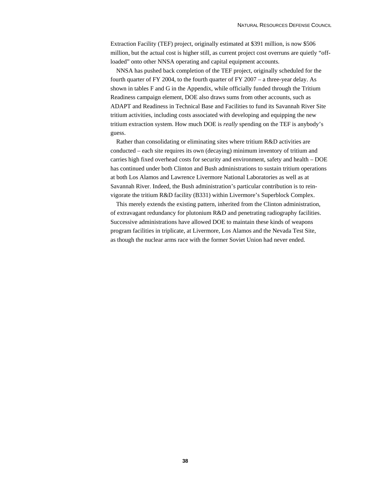Extraction Facility (TEF) project, originally estimated at \$391 million, is now \$506 million, but the actual cost is higher still, as current project cost overruns are quietly "offloaded" onto other NNSA operating and capital equipment accounts.

NNSA has pushed back completion of the TEF project, originally scheduled for the fourth quarter of FY 2004, to the fourth quarter of FY 2007 – a three-year delay. As shown in tables F and G in the Appendix, while officially funded through the Tritium Readiness campaign element, DOE also draws sums from other accounts, such as ADAPT and Readiness in Technical Base and Facilities to fund its Savannah River Site tritium activities, including costs associated with developing and equipping the new tritium extraction system. How much DOE is *really* spending on the TEF is anybody's guess.

Rather than consolidating or eliminating sites where tritium R&D activities are conducted – each site requires its own (decaying) minimum inventory of tritium and carries high fixed overhead costs for security and environment, safety and health – DOE has continued under both Clinton and Bush administrations to sustain tritium operations at both Los Alamos and Lawrence Livermore National Laboratories as well as at Savannah River. Indeed, the Bush administration's particular contribution is to reinvigorate the tritium R&D facility (B331) within Livermore's Superblock Complex.

This merely extends the existing pattern, inherited from the Clinton administration, of extravagant redundancy for plutonium R&D and penetrating radiography facilities. Successive administrations have allowed DOE to maintain these kinds of weapons program facilities in triplicate, at Livermore, Los Alamos and the Nevada Test Site, as though the nuclear arms race with the former Soviet Union had never ended.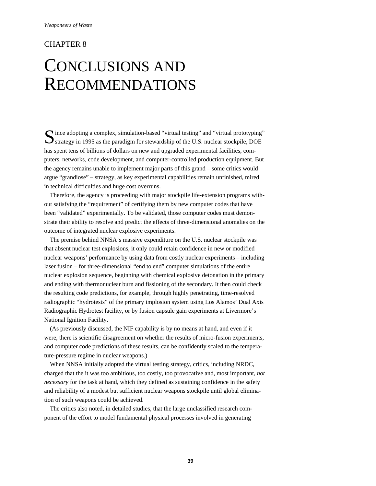## CHAPTER 8

## CONCLUSIONS AND RECOMMENDATIONS

Since adopting a complex, simulation-based "virtual testing" and "virtual prototyping" strategy in 1995 as the paradigm for stewardship of the U.S. nuclear stockpile, DOE strategy in 1995 as the paradigm for stewardship of the U.S. nuclear stockpile, DOE has spent tens of billions of dollars on new and upgraded experimental facilities, computers, networks, code development, and computer-controlled production equipment. But the agency remains unable to implement major parts of this grand – some critics would argue "grandiose" – strategy, as key experimental capabilities remain unfinished, mired in technical difficulties and huge cost overruns.

Therefore, the agency is proceeding with major stockpile life-extension programs without satisfying the "requirement" of certifying them by new computer codes that have been "validated" experimentally. To be validated, those computer codes must demonstrate their ability to resolve and predict the effects of three-dimensional anomalies on the outcome of integrated nuclear explosive experiments.

The premise behind NNSA's massive expenditure on the U.S. nuclear stockpile was that absent nuclear test explosions, it only could retain confidence in new or modified nuclear weapons' performance by using data from costly nuclear experiments – including laser fusion – for three-dimensional "end to end" computer simulations of the entire nuclear explosion sequence, beginning with chemical explosive detonation in the primary and ending with thermonuclear burn and fissioning of the secondary. It then could check the resulting code predictions, for example, through highly penetrating, time-resolved radiographic "hydrotests" of the primary implosion system using Los Alamos' Dual Axis Radiographic Hydrotest facility, or by fusion capsule gain experiments at Livermore's National Ignition Facility.

(As previously discussed, the NIF capability is by no means at hand, and even if it were, there is scientific disagreement on whether the results of micro-fusion experiments, and computer code predictions of these results, can be confidently scaled to the temperature-pressure regime in nuclear weapons.)

When NNSA initially adopted the virtual testing strategy, critics, including NRDC, charged that the it was too ambitious, too costly, too provocative and, most important, *not necessary* for the task at hand, which they defined as sustaining confidence in the safety and reliability of a modest but sufficient nuclear weapons stockpile until global elimination of such weapons could be achieved.

The critics also noted, in detailed studies, that the large unclassified research component of the effort to model fundamental physical processes involved in generating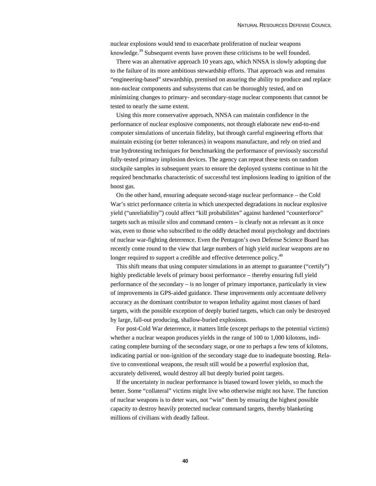nuclear explosions would tend to exacerbate proliferation of nuclear weapons knowledge.<sup>39</sup> Subsequent events have proven these criticisms to be well founded.

There was an alternative approach 10 years ago, which NNSA is slowly adopting due to the failure of its more ambitious stewardship efforts. That approach was and remains "engineering-based" stewardship, premised on assuring the ability to produce and replace non-nuclear components and subsystems that can be thoroughly tested, and on minimizing changes to primary- and secondary-stage nuclear components that cannot be tested to nearly the same extent.

Using this more conservative approach, NNSA can maintain confidence in the performance of nuclear explosive components, not through elaborate new end-to-end computer simulations of uncertain fidelity, but through careful engineering efforts that maintain existing (or better tolerances) in weapons manufacture, and rely on tried and true hydrotesting techniques for benchmarking the performance of previously successful fully-tested primary implosion devices. The agency can repeat these tests on random stockpile samples in subsequent years to ensure the deployed systems continue to hit the required benchmarks characteristic of successful test implosions leading to ignition of the boost gas.

On the other hand, ensuring adequate second-stage nuclear performance – the Cold War's strict performance criteria in which unexpected degradations in nuclear explosive yield ("unreliability") could affect "kill probabilities" against hardened "counterforce" targets such as missile silos and command centers – is clearly not as relevant as it once was, even to those who subscribed to the oddly detached moral psychology and doctrines of nuclear war-fighting deterrence. Even the Pentagon's own Defense Science Board has recently come round to the view that large numbers of high yield nuclear weapons are no longer required to support a credible and effective deterrence policy.<sup>40</sup>

This shift means that using computer simulations in an attempt to guarantee ("certify") highly predictable levels of primary boost performance – thereby ensuring full yield performance of the secondary – is no longer of primary importance, particularly in view of improvements in GPS-aided guidance. These improvements only accentuate delivery accuracy as the dominant contributor to weapon lethality against most classes of hard targets, with the possible exception of deeply buried targets, which can only be destroyed by large, fall-out producing, shallow-buried explosions.

For post-Cold War deterrence, it matters little (except perhaps to the potential victims) whether a nuclear weapon produces yields in the range of 100 to 1,000 kilotons, indicating complete burning of the secondary stage, or one to perhaps a few tens of kilotons, indicating partial or non-ignition of the secondary stage due to inadequate boosting. Relative to conventional weapons, the result still would be a powerful explosion that, accurately delivered, would destroy all but deeply buried point targets.

If the uncertainty in nuclear performance is biased toward lower yields, so much the better. Some "collateral" victims might live who otherwise might not have. The function of nuclear weapons is to deter wars, not "win" them by ensuring the highest possible capacity to destroy heavily protected nuclear command targets, thereby blanketing millions of civilians with deadly fallout.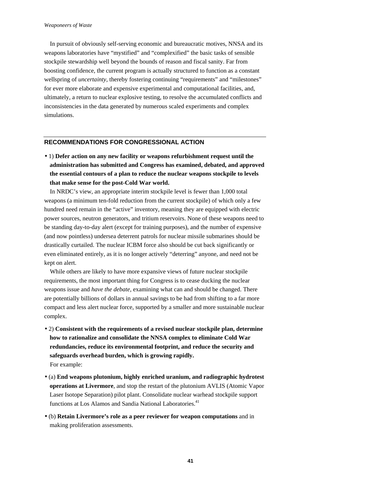In pursuit of obviously self-serving economic and bureaucratic motives, NNSA and its weapons laboratories have "mystified" and "complexified" the basic tasks of sensible stockpile stewardship well beyond the bounds of reason and fiscal sanity. Far from boosting confidence, the current program is actually structured to function as a constant wellspring of *uncertainty*, thereby fostering continuing "requirements" and "milestones" for ever more elaborate and expensive experimental and computational facilities, and, ultimately, a return to nuclear explosive testing, to resolve the accumulated conflicts and inconsistencies in the data generated by numerous scaled experiments and complex simulations.

#### **RECOMMENDATIONS FOR CONGRESSIONAL ACTION**

• 1) **Defer action on any new facility or weapons refurbishment request until the administration has submitted and Congress has examined, debated, and approved the essential contours of a plan to reduce the nuclear weapons stockpile to levels that make sense for the post-Cold War world.**

In NRDC's view, an appropriate interim stockpile level is fewer than 1,000 total weapons (a minimum ten-fold reduction from the current stockpile) of which only a few hundred need remain in the "active" inventory, meaning they are equipped with electric power sources, neutron generators, and tritium reservoirs. None of these weapons need to be standing day-to-day alert (except for training purposes), and the number of expensive (and now pointless) undersea deterrent patrols for nuclear missile submarines should be drastically curtailed. The nuclear ICBM force also should be cut back significantly or even eliminated entirely, as it is no longer actively "deterring" anyone, and need not be kept on alert.

While others are likely to have more expansive views of future nuclear stockpile requirements, the most important thing for Congress is to cease ducking the nuclear weapons issue and *have the debate*, examining what can and should be changed. There are potentially billions of dollars in annual savings to be had from shifting to a far more compact and less alert nuclear force, supported by a smaller and more sustainable nuclear complex.

- 2) **Consistent with the requirements of a revised nuclear stockpile plan, determine how to rationalize and consolidate the NNSA complex to eliminate Cold War redundancies, reduce its environmental footprint, and reduce the security and safeguards overhead burden, which is growing rapidly.** For example:
- (a) **End weapons plutonium, highly enriched uranium, and radiographic hydrotest operations at Livermore**, and stop the restart of the plutonium AVLIS (Atomic Vapor Laser Isotope Separation) pilot plant. Consolidate nuclear warhead stockpile support functions at Los Alamos and Sandia National Laboratories.<sup>41</sup>
- (b) **Retain Livermore's role as a peer reviewer for weapon computations** and in making proliferation assessments.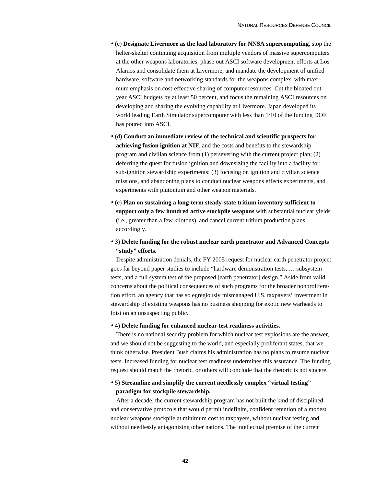- (c) **Designate Livermore as the lead laboratory for NNSA supercomputing**, stop the helter-skelter continuing acquisition from multiple vendors of massive supercomputers at the other weapons laboratories, phase out ASCI software development efforts at Los Alamos and consolidate them at Livermore, and mandate the development of unified hardware, software and networking standards for the weapons complex, with maximum emphasis on cost-effective sharing of computer resources. Cut the bloated outyear ASCI budgets by at least 50 percent, and focus the remaining ASCI resources on developing and sharing the evolving capability at Livermore. Japan developed its world leading Earth Simulator supercomputer with less than 1/10 of the funding DOE has poured into ASCI.
- (d) **Conduct an immediate review of the technical and scientific prospects for achieving fusion ignition at NIF**, and the costs and benefits to the stewardship program and civilian science from (1) persevering with the current project plan; (2) deferring the quest for fusion ignition and downsizing the facility into a facility for sub-ignition stewardship experiments; (3) focusing on ignition and civilian science missions, and abandoning plans to conduct nuclear weapons effects experiments, and experiments with plutonium and other weapon materials.
- (e) **Plan on sustaining a long-term steady-state tritium inventory sufficient to support only a few hundred active stockpile weapons** with substantial nuclear yields (i.e., greater than a few kilotons), and cancel current tritium production plans accordingly.

### • 3) **Delete funding for the robust nuclear earth penetrator and Advanced Concepts "study" efforts.**

Despite administration denials, the FY 2005 request for nuclear earth penetrator project goes far beyond paper studies to include "hardware demonstration tests, … subsystem tests, and a full system test of the proposed [earth penetrator] design." Aside from valid concerns about the political consequences of such programs for the broader nonproliferation effort, an agency that has so egregiously mismanaged U.S. taxpayers' investment in stewardship of existing weapons has no business shopping for exotic new warheads to foist on an unsuspecting public.

#### • 4) **Delete funding for enhanced nuclear test readiness activities.**

There is no national security problem for which nuclear test explosions are the answer, and we should not be suggesting to the world, and especially proliferant states, that we think otherwise. President Bush claims his administration has no plans to resume nuclear tests. Increased funding for nuclear test readiness undermines this assurance. The funding request should match the rhetoric, or others will conclude that the rhetoric is not sincere.

### • 5) **Streamline and simplify the current needlessly complex "virtual testing" paradigm for stockpile stewardship.**

After a decade, the current stewardship program has not built the kind of disciplined and conservative protocols that would permit indefinite, confident retention of a modest nuclear weapons stockpile at minimum cost to taxpayers, without nuclear testing and without needlessly antagonizing other nations. The intellectual premise of the current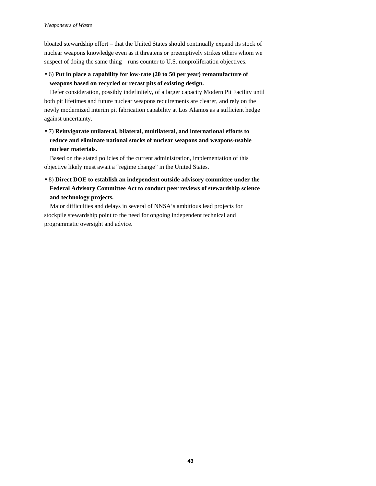bloated stewardship effort – that the United States should continually expand its stock of nuclear weapons knowledge even as it threatens or preemptively strikes others whom we suspect of doing the same thing – runs counter to U.S. nonproliferation objectives.

• 6) **Put in place a capability for low-rate (20 to 50 per year) remanufacture of weapons based on recycled or recast pits of existing design.**

Defer consideration, possibly indefinitely, of a larger capacity Modern Pit Facility until both pit lifetimes and future nuclear weapons requirements are clearer, and rely on the newly modernized interim pit fabrication capability at Los Alamos as a sufficient hedge against uncertainty.

• 7) **Reinvigorate unilateral, bilateral, multilateral, and international efforts to reduce and eliminate national stocks of nuclear weapons and weapons-usable nuclear materials.**

Based on the stated policies of the current administration, implementation of this objective likely must await a "regime change" in the United States.

• 8) **Direct DOE to establish an independent outside advisory committee under the Federal Advisory Committee Act to conduct peer reviews of stewardship science and technology projects.**

Major difficulties and delays in several of NNSA's ambitious lead projects for stockpile stewardship point to the need for ongoing independent technical and programmatic oversight and advice.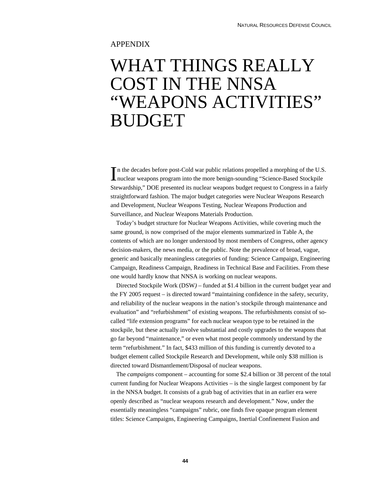## APPENDIX

## WHAT THINGS REALLY COST IN THE NNSA "WEAPONS ACTIVITIES" BUDGET

n the decades before post-Cold war public relations propelled a morphing of the U.S. In the decades before post-Cold war public relations propelled a morphing of the U.S<br>nuclear weapons program into the more benign-sounding "Science-Based Stockpile Stewardship," DOE presented its nuclear weapons budget request to Congress in a fairly straightforward fashion. The major budget categories were Nuclear Weapons Research and Development, Nuclear Weapons Testing, Nuclear Weapons Production and Surveillance, and Nuclear Weapons Materials Production.

Today's budget structure for Nuclear Weapons Activities, while covering much the same ground, is now comprised of the major elements summarized in Table A, the contents of which are no longer understood by most members of Congress, other agency decision-makers, the news media, or the public. Note the prevalence of broad, vague, generic and basically meaningless categories of funding: Science Campaign, Engineering Campaign, Readiness Campaign, Readiness in Technical Base and Facilities. From these one would hardly know that NNSA is working on nuclear weapons.

Directed Stockpile Work (DSW*)* – funded at \$1.4 billion in the current budget year and the FY 2005 request – is directed toward "maintaining confidence in the safety, security, and reliability of the nuclear weapons in the nation's stockpile through maintenance and evaluation" and "refurbishment" of existing weapons. The refurbishments consist of socalled "life extension programs" for each nuclear weapon type to be retained in the stockpile, but these actually involve substantial and costly upgrades to the weapons that go far beyond "maintenance," or even what most people commonly understand by the term "refurbishment." In fact, \$433 million of this funding is currently devoted to a budget element called Stockpile Research and Development, while only \$38 million is directed toward Dismantlement/Disposal of nuclear weapons.

The *campaigns* component – accounting for some \$2.4 billion or 38 percent of the total current funding for Nuclear Weapons Activities – is the single largest component by far in the NNSA budget. It consists of a grab bag of activities that in an earlier era were openly described as "nuclear weapons research and development." Now, under the essentially meaningless "campaigns" rubric, one finds five opaque program element titles: Science Campaigns, Engineering Campaigns, Inertial Confinement Fusion and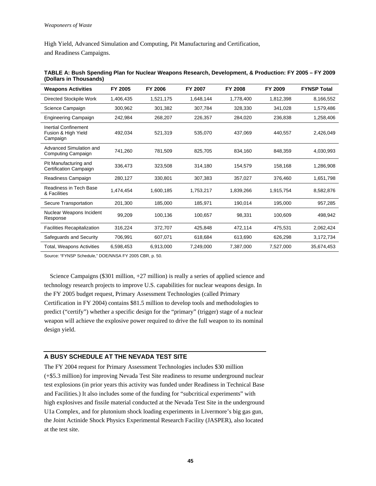High Yield, Advanced Simulation and Computing, Pit Manufacturing and Certification, and Readiness Campaigns.

| <b>Weapons Activities</b>                                      | FY 2005   | FY 2006   | FY 2007   | FY 2008   | FY 2009   | <b>FYNSP Total</b> |
|----------------------------------------------------------------|-----------|-----------|-----------|-----------|-----------|--------------------|
| Directed Stockpile Work                                        | 1,406,435 | 1,521,175 | 1,648,144 | 1,778,400 | 1,812,398 | 8,166,552          |
| Science Campaign                                               | 300,962   | 301,382   | 307,784   | 328,330   | 341,028   | 1,579,486          |
| <b>Engineering Campaign</b>                                    | 242,984   | 268,207   | 226,357   | 284,020   | 236,838   | 1,258,406          |
| <b>Inertial Confinement</b><br>Fusion & High Yield<br>Campaign | 492,034   | 521,319   | 535,070   | 437,069   | 440,557   | 2,426,049          |
| Advanced Simulation and<br><b>Computing Campaign</b>           | 741,260   | 781,509   | 825,705   | 834,160   | 848,359   | 4,030,993          |
| Pit Manufacturing and<br>Certification Campaign                | 336,473   | 323,508   | 314,180   | 154,579   | 158,168   | 1,286,908          |
| Readiness Campaign                                             | 280,127   | 330,801   | 307.383   | 357,027   | 376,460   | 1,651,798          |
| Readiness in Tech Base<br>& Facilities                         | 1,474,454 | 1,600,185 | 1,753,217 | 1,839,266 | 1,915,754 | 8,582,876          |
| Secure Transportation                                          | 201,300   | 185,000   | 185,971   | 190,014   | 195,000   | 957,285            |
| Nuclear Weapons Incident<br>Response                           | 99,209    | 100,136   | 100,657   | 98,331    | 100,609   | 498,942            |
| <b>Facilities Recapitalization</b>                             | 316,224   | 372,707   | 425,848   | 472,114   | 475,531   | 2,062,424          |
| Safeguards and Security                                        | 706,991   | 607,071   | 618,684   | 613,690   | 626,298   | 3,172,734          |
| <b>Total, Weapons Activities</b>                               | 6,598,453 | 6,913,000 | 7,249,000 | 7,387,000 | 7,527,000 | 35,674,453         |

| TABLE A: Bush Spending Plan for Nuclear Weapons Research, Development, & Production: FY 2005 - FY 2009 |  |
|--------------------------------------------------------------------------------------------------------|--|
| (Dollars in Thousands)                                                                                 |  |

Source: "FYNSP Schedule," DOE/NNSA FY 2005 CBR, p. 50.

Science Campaigns (\$301 million, +27 million) is really a series of applied science and technology research projects to improve U.S. capabilities for nuclear weapons design. In the FY 2005 budget request, Primary Assessment Technologies (called Primary Certification in FY 2004) contains \$81.5 million to develop tools and methodologies to predict ("certify") whether a specific design for the "primary" (trigger) stage of a nuclear weapon will achieve the explosive power required to drive the full weapon to its nominal design yield.

### **A BUSY SCHEDULE AT THE NEVADA TEST SITE**

The FY 2004 request for Primary Assessment Technologies includes \$30 million (+\$5.3 million) for improving Nevada Test Site readiness to resume underground nuclear test explosions (in prior years this activity was funded under Readiness in Technical Base and Facilities.) It also includes some of the funding for "subcritical experiments" with high explosives and fissile material conducted at the Nevada Test Site in the underground U1a Complex, and for plutonium shock loading experiments in Livermore's big gas gun, the Joint Actinide Shock Physics Experimental Research Facility (JASPER), also located at the test site.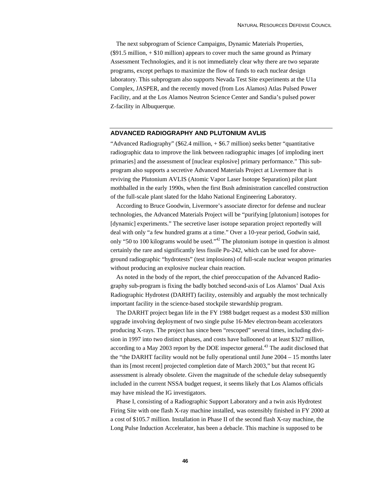The next subprogram of Science Campaigns, Dynamic Materials Properties,  $(\$91.5$  million,  $+ \$10$  million) appears to cover much the same ground as Primary Assessment Technologies, and it is not immediately clear why there are two separate programs, except perhaps to maximize the flow of funds to each nuclear design laboratory. This subprogram also supports Nevada Test Site experiments at the U1a Complex, JASPER, and the recently moved (from Los Alamos) Atlas Pulsed Power Facility, and at the Los Alamos Neutron Science Center and Sandia's pulsed power Z-facility in Albuquerque.

#### **ADVANCED RADIOGRAPHY AND PLUTONIUM AVLIS**

"Advanced Radiography" (\$62.4 million, + \$6.7 million) seeks better "quantitative radiographic data to improve the link between radiographic images [of imploding inert primaries] and the assessment of [nuclear explosive] primary performance." This subprogram also supports a secretive Advanced Materials Project at Livermore that is reviving the Plutonium AVLIS (Atomic Vapor Laser Isotope Separation) pilot plant mothballed in the early 1990s, when the first Bush administration cancelled construction of the full-scale plant slated for the Idaho National Engineering Laboratory.

According to Bruce Goodwin, Livermore's associate director for defense and nuclear technologies, the Advanced Materials Project will be "purifying [plutonium] isotopes for [dynamic] experiments." The secretive laser isotope separation project reportedly will deal with only "a few hundred grams at a time." Over a 10-year period, Godwin said, only "50 to 100 kilograms would be used."42 The plutonium isotope in question is almost certainly the rare and significantly less fissile Pu-242, which can be used for aboveground radiographic "hydrotests" (test implosions) of full-scale nuclear weapon primaries without producing an explosive nuclear chain reaction.

As noted in the body of the report, the chief preoccupation of the Advanced Radiography sub-program is fixing the badly botched second-axis of Los Alamos' Dual Axis Radiographic Hydrotest (DARHT) facility, ostensibly and arguably the most technically important facility in the science-based stockpile stewardship program.

The DARHT project began life in the FY 1988 budget request as a modest \$30 million upgrade involving deployment of two single pulse 16-Mev electron-beam accelerators producing X-rays. The project has since been "rescoped" several times, including division in 1997 into two distinct phases, and costs have ballooned to at least \$327 million, according to a May 2003 report by the DOE inspector general.<sup>43</sup> The audit disclosed that the "the DARHT facility would not be fully operational until June 2004 – 15 months later than its [most recent] projected completion date of March 2003," but that recent IG assessment is already obsolete. Given the magnitude of the schedule delay subsequently included in the current NSSA budget request, it seems likely that Los Alamos officials may have mislead the IG investigators.

Phase I, consisting of a Radiographic Support Laboratory and a twin axis Hydrotest Firing Site with one flash X-ray machine installed, was ostensibly finished in FY 2000 at a cost of \$105.7 million. Installation in Phase II of the second flash X-ray machine, the Long Pulse Induction Accelerator, has been a debacle. This machine is supposed to be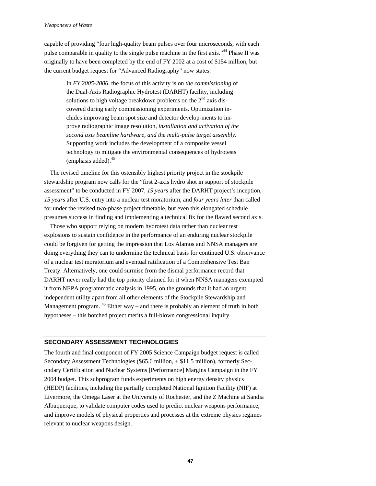#### *Weaponeers of Waste*

capable of providing "four high-quality beam pulses over four microseconds, with each pulse comparable in quality to the single pulse machine in the first axis."44 Phase II was originally to have been completed by the end of FY 2002 at a cost of \$154 million, but the current budget request for "Advanced Radiography" now states:

> In *FY 2005-2006*, the focus of this activity is on *the commissioning* of the Dual-Axis Radiographic Hydrotest (DARHT) facility, including solutions to high voltage breakdown problems on the  $2<sup>nd</sup>$  axis discovered during early commissioning experiments. Optimization includes improving beam spot size and detector develop-ments to improve radiographic image resolution, *installation and activation of the second axis beamline hardware, and the multi-pulse target assembly*. Supporting work includes the development of a composite vessel technology to mitigate the environmental consequences of hydrotests  $(emphasis added).<sup>45</sup>$

The revised timeline for this ostensibly highest priority project in the stockpile stewardship program now calls for the "first 2-axis hydro shot in support of stockpile assessment" to be conducted in FY 2007, *19 years* after the DARHT project's inception, *15 years* after U.S. entry into a nuclear test moratorium, and *four years later* than called for under the revised two-phase project timetable, but even this elongated schedule presumes success in finding and implementing a technical fix for the flawed second axis.

Those who support relying on modern hydrotest data rather than nuclear test explosions to sustain confidence in the performance of an enduring nuclear stockpile could be forgiven for getting the impression that Los Alamos and NNSA managers are doing everything they can to undermine the technical basis for continued U.S. observance of a nuclear test moratorium and eventual ratification of a Comprehensive Test Ban Treaty. Alternatively, one could surmise from the dismal performance record that DARHT never really had the top priority claimed for it when NNSA managers exempted it from NEPA programmatic analysis in 1995, on the grounds that it had an urgent independent utility apart from all other elements of the Stockpile Stewardship and Management program.  $46$  Either way – and there is probably an element of truth in both hypotheses – this botched project merits a full-blown congressional inquiry.

#### **SECONDARY ASSESSMENT TECHNOLOGIES**

The fourth and final component of FY 2005 Science Campaign budget request is called Secondary Assessment Technologies (\$65.6 million, + \$11.5 million), formerly Secondary Certification and Nuclear Systems [Performance] Margins Campaign in the FY 2004 budget. This subprogram funds experiments on high energy density physics (HEDP) facilities, including the partially completed National Ignition Facility (NIF) at Livermore, the Omega Laser at the University of Rochester, and the Z Machine at Sandia Albuquerque, to validate computer codes used to predict nuclear weapons performance, and improve models of physical properties and processes at the extreme physics regimes relevant to nuclear weapons design.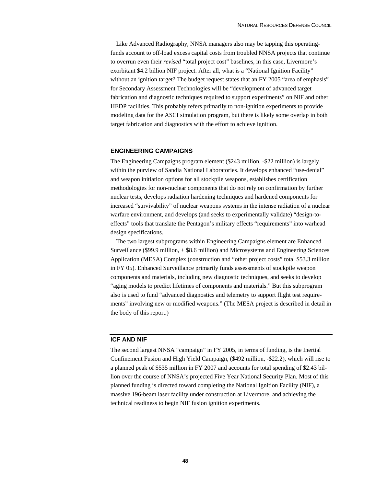Like Advanced Radiography, NNSA managers also may be tapping this operatingfunds account to off-load excess capital costs from troubled NNSA projects that continue to overrun even their *revised* "total project cost" baselines, in this case, Livermore's exorbitant \$4.2 billion NIF project. After all, what is a "National Ignition Facility" without an ignition target? The budget request states that an FY 2005 "area of emphasis" for Secondary Assessment Technologies will be "development of advanced target fabrication and diagnostic techniques required to support experiments" on NIF and other HEDP facilities. This probably refers primarily to non-ignition experiments to provide modeling data for the ASCI simulation program, but there is likely some overlap in both target fabrication and diagnostics with the effort to achieve ignition.

#### **ENGINEERING CAMPAIGNS**

The Engineering Campaigns program element (\$243 million, -\$22 million) is largely within the purview of Sandia National Laboratories. It develops enhanced "use-denial" and weapon initiation options for all stockpile weapons, establishes certification methodologies for non-nuclear components that do not rely on confirmation by further nuclear tests, develops radiation hardening techniques and hardened components for increased "survivability" of nuclear weapons systems in the intense radiation of a nuclear warfare environment, and develops (and seeks to experimentally validate) "design-toeffects" tools that translate the Pentagon's military effects "requirements" into warhead design specifications.

The two largest subprograms within Engineering Campaigns element are Enhanced Surveillance (\$99.9 million, + \$8.6 million) and Microsystems and Engineering Sciences Application (MESA) Complex (construction and "other project costs" total \$53.3 million in FY 05). Enhanced Surveillance primarily funds assessments of stockpile weapon components and materials, including new diagnostic techniques, and seeks to develop "aging models to predict lifetimes of components and materials." But this subprogram also is used to fund "advanced diagnostics and telemetry to support flight test requirements" involving new or modified weapons." (The MESA project is described in detail in the body of this report.)

#### **ICF AND NIF**

The second largest NNSA "campaign" in FY 2005, in terms of funding, is the Inertial Confinement Fusion and High Yield Campaign, (\$492 million, -\$22.2), which will rise to a planned peak of \$535 million in FY 2007 and accounts for total spending of \$2.43 billion over the course of NNSA's projected Five Year National Security Plan. Most of this planned funding is directed toward completing the National Ignition Facility (NIF), a massive 196-beam laser facility under construction at Livermore, and achieving the technical readiness to begin NIF fusion ignition experiments.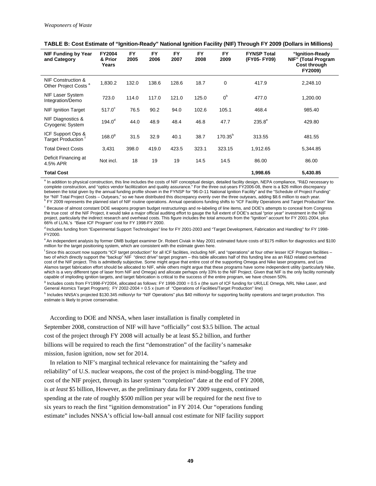| NIF Funding by Year<br>and Category                    | <b>FY2004</b><br>& Prior<br>Years | FY<br>2005 | <b>FY</b><br>2006 | <b>FY</b><br>2007 | <b>FY</b><br>2008 | <b>FY</b><br>2009 | <b>FYNSP Total</b><br>(FY05-FY09) | "Ignition-Ready<br>NIF" (Total Program<br>Cost through<br>FY2009) |
|--------------------------------------------------------|-----------------------------------|------------|-------------------|-------------------|-------------------|-------------------|-----------------------------------|-------------------------------------------------------------------|
| NIF Construction &<br>Other Project Costs <sup>a</sup> | 1,830.2                           | 132.0      | 138.6             | 128.6             | 18.7              | 0                 | 417.9                             | 2,248.10                                                          |
| NIF Laser System<br>Integration/Demo                   | 723.0                             | 114.0      | 117.0             | 121.0             | 125.0             | 0 <sup>b</sup>    | 477.0                             | 1,200.00                                                          |
| <b>NIF Ignition Target</b>                             | $517.0^\circ$                     | 76.5       | 90.2              | 94.0              | 102.6             | 105.1             | 468.4                             | 985.40                                                            |
| NIF Diagnostics &<br>Cryogenic System                  | $194.0^d$                         | 44.0       | 48.9              | 48.4              | 46.8              | 47.7              | $235.8^{\circ}$                   | 429.80                                                            |
| ICF Support Ops &<br>Target Production                 | $168.0^9$                         | 31.5       | 32.9              | 40.1              | 38.7              | $170.35^{h}$      | 313.55                            | 481.55                                                            |
| <b>Total Direct Costs</b>                              | 3,431                             | 398.0      | 419.0             | 423.5             | 323.1             | 323.15            | 1,912.65                          | 5,344.85                                                          |
| Deficit Financing at<br>4.5% APR                       | Not incl.                         | 18         | 19                | 19                | 14.5              | 14.5              | 86.00                             | 86.00                                                             |
| <b>Total Cost</b>                                      |                                   |            |                   |                   |                   |                   | 1,998.65                          | 5,430.85                                                          |

|  |  |  |  | TABLE B: Cost Estimate of "Ignition-Ready" National Ignition Facility (NIF) Through FY 2009 (Dollars in Millions) |
|--|--|--|--|-------------------------------------------------------------------------------------------------------------------|
|--|--|--|--|-------------------------------------------------------------------------------------------------------------------|

<sup>a</sup> In addition to physical construction, this line includes the costs of NIF conceptual design, detailed facility design, NEPA compliance, "R&D necessary to complete construction, and "optics vendor facilitization and quality assurance." For the three out-years FY2006-08, there is a \$26 million discrepancy between the total given by the annual funding profile shown in the FYNSP for "96-D-11 National Ignition Facility" and the "Schedule of Project Funding" for "NIF Total Project Costs – Outyears," so we have distributed this discrepancy evenly over the three outyears, adding \$8.6 million to each year.<br><sup>b</sup> FY 2009 represents the planned start of NIF routine operations. Annual

<sup>c</sup> Because of almost constant DOE weapons program budget restructurings and re-labeling of line items, and DOE's attempts to conceal from Congress the true cost of the NIF Project, it would take a major official auditing effort to gauge the full extent of DOE's actual "prior year" investment in the NIF project, particularly the indirect research and overhead costs. This figure includes the total amounts from the "Ignition" account for FY 2001-2004, plus 66% of LLNL's "Base ICF Program" cost for FY 1998-FY 2000.

<sup>d</sup> Includes funding from "Experimental Support Technologies" line for FY 2001-2003 and "Target Development, Fabrication and Handling" for FY 1998-FY2000.

e An independent analysis by former OMB budget examiner Dr. Robert Civiak in May 2001 estimated future costs of \$175 million for diagnostics and \$100 million for the target positioning system, which are consistent with the estimate given here.

f Since this account now supports "ICF target production" for all ICF facilities, including NIF, and "operations" at four other lesser ICF Program facilities – two of which directly support the "backup" NIF "direct drive" target program – this table allocates half of this funding line as an R&D related overhead cost of the NIF project. This is admittedly subjective. Some might argue that entire cost of the supporting Omega and Nike laser programs, and Los Alamos target fabrication effort should be allocated to NIF, while others might argue that these programs have some independent utility (particularly Nike, which is a very different type of laser from NIF and Omega) and allocate perhaps only 33% to the NIF Project. Given that NIF is the only facility nominally capable of imploding ignition targets, and target fabrication is critical to the success of the entire program, we have chosen 50%.

<sup>g</sup> Includes costs from FY1998-FY2004, allocated as follows: FY 1998-2000 = 0.5 x (the sum of ICF funding for UR/LLE Omega, NRL Nike Laser, and General Atomics Target Program); FY 2002-2004 = 0.5 x (sum of "Operations of Facilities/Target Production" line)

h Includes NNSA's projected \$130.345 million/yr for "NIF Operations" plus \$40 million/yr for supporting facility operations and target production. This estimate is likely to prove conservative.

According to DOE and NNSA, when laser installation is finally completed in September 2008, construction of NIF will have "officially" cost \$3.5 billion. The actual cost of the project through FY 2008 will actually be at least \$5.2 billion, and further billions will be required to reach the first "demonstration" of the facility's namesake mission, fusion ignition, now set for 2014.

In relation to NIF's marginal technical relevance for maintaining the "safety and reliability" of U.S. nuclear weapons, the cost of the project is mind-boggling. The true cost of the NIF project, through its laser system "completion" date at the end of FY 2008, is *at least* \$5 billion, However, as the preliminary data for FY 2009 suggests, continued spending at the rate of roughly \$500 million per year will be required for the next five to six years to reach the first "ignition demonstration" in FY 2014. Our "operations funding estimate" includes NNSA's official low-ball annual cost estimate for NIF facility support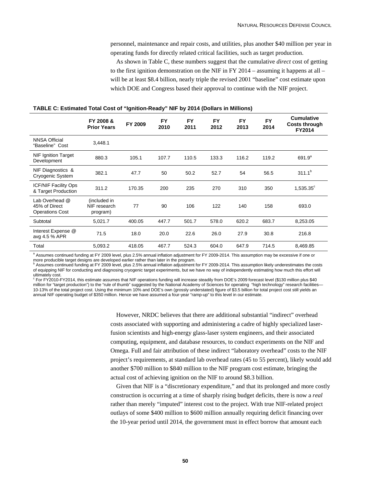personnel, maintenance and repair costs, and utilities, plus another \$40 million per year in operating funds for directly related critical facilities, such as target production.

As shown in Table C, these numbers suggest that the cumulative *direct* cost of getting to the first ignition demonstration on the NIF in FY 2014 – assuming it happens at all – will be at least \$8.4 billion, nearly triple the revised 2001 "baseline" cost estimate upon which DOE and Congress based their approval to continue with the NIF project.

|                                                           | FY 2008 &<br><b>Prior Years</b>          | FY 2009 | <b>FY</b><br>2010 | <b>FY</b><br>2011 | <b>FY</b><br>2012 | <b>FY</b><br>2013 | <b>FY</b><br>2014 | <b>Cumulative</b><br><b>Costs through</b><br>FY2014 |
|-----------------------------------------------------------|------------------------------------------|---------|-------------------|-------------------|-------------------|-------------------|-------------------|-----------------------------------------------------|
| <b>NNSA Official</b><br>"Baseline" Cost                   | 3,448.1                                  |         |                   |                   |                   |                   |                   |                                                     |
| <b>NIF Ignition Target</b><br>Development                 | 880.3                                    | 105.1   | 107.7             | 110.5             | 133.3             | 116.2             | 119.2             | $691.9^{a}$                                         |
| NIF Diagnostics &<br>Cryogenic System                     | 382.1                                    | 47.7    | 50                | 50.2              | 52.7              | 54                | 56.5              | $311.1^{b}$                                         |
| <b>ICF/NIF Facility Ops</b><br>& Target Production        | 311.2                                    | 170.35  | 200               | 235               | 270               | 310               | 350               | $1,535.35^c$                                        |
| Lab Overhead @<br>45% of Direct<br><b>Operations Cost</b> | (included in<br>NIF research<br>program) | 77      | 90                | 106               | 122               | 140               | 158               | 693.0                                               |
| Subtotal                                                  | 5,021.7                                  | 400.05  | 447.7             | 501.7             | 578.0             | 620.2             | 683.7             | 8,253.05                                            |
| Interest Expense @<br>avg 4.5 % APR                       | 71.5                                     | 18.0    | 20.0              | 22.6              | 26.0              | 27.9              | 30.8              | 216.8                                               |
| Total                                                     | 5,093.2                                  | 418.05  | 467.7             | 524.3             | 604.0             | 647.9             | 714.5             | 8,469.85                                            |

#### **TABLE C: Estimated Total Cost of "Ignition-Ready" NIF by 2014 (Dollars in Millions)**

<sup>a</sup> Assumes continued funding at FY 2009 level, plus 2.5% annual inflation adjustment for FY 2009-2014. This assumption may be excessive if one or more producible target designs are developed earlier rather than later in the program.<br>b Apaumes continued funding at EX 2000 laugh alug 2.5% apaugh inflation ediustment to

 Assumes continued funding at FY 2009 level, plus 2.5% annual inflation adjustment for FY 2009-2014. This assumption likely underestimates the costs of equipping NIF for conducting and diagnosing cryogenic target experiments, but we have no way of independently estimating how much this effort will ultimately cost.

For FY2010-FY2014, this estimate assumes that NIF operations funding will increase steadily from DOE's 2009 forecast level (\$130 million plus \$40 million for "target production") to the "rule of thumb" suggested by the National Academy of Sciences for operating "high technology" research facilities-10-13% of the total project cost. Using the minimum 10% and DOE's own (grossly understated) figure of \$3.5 billion for total project cost still yields an annual NIF operating budget of \$350 million. Hence we have assumed a four-year "ramp-up" to this level in our estimate.

> However, NRDC believes that there are additional substantial "indirect" overhead costs associated with supporting and administering a cadre of highly specialized laserfusion scientists and high-energy glass-laser system engineers, and their associated computing, equipment, and database resources, to conduct experiments on the NIF and Omega. Full and fair attribution of these indirect "laboratory overhead" costs to the NIF project's requirements, at standard lab overhead rates (45 to 55 percent), likely would add another \$700 million to \$840 million to the NIF program cost estimate, bringing the actual cost of achieving ignition on the NIF to around \$8.3 billion.

> Given that NIF is a "discretionary expenditure," and that its prolonged and more costly construction is occurring at a time of sharply rising budget deficits, there is now a *real* rather than merely "imputed" interest cost to the project. With true NIF-related project outlays of some \$400 million to \$600 million annually requiring deficit financing over the 10-year period until 2014, the government must in effect borrow that amount each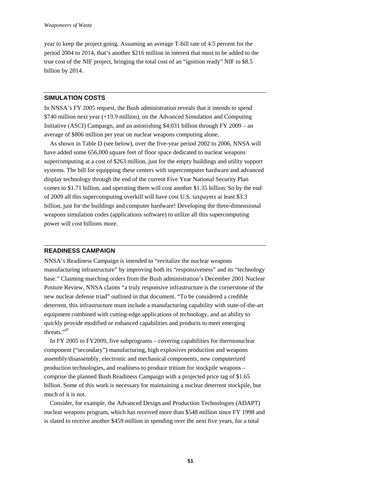year to keep the project going. Assuming an average T-bill rate of 4.5 percent for the period 2004 to 2014, that's another \$216 million in interest that must to be added to the true cost of the NIF project, bringing the total cost of an "ignition ready" NIF to \$8.5 billion by 2014.

#### **SIMULATION COSTS**

In NNSA's FY 2005 request, the Bush administration reveals that it intends to spend \$740 million next year (+19.9 million), on the Advanced Simulation and Computing Initiative (ASCI) Campaign, and an astonishing \$4.031 billion through FY 2009 – an average of \$806 million per year on nuclear weapons computing alone.

As shown in Table D (see below), over the five-year period 2002 to 2006, NNSA will have added some 656,000 square feet of floor space dedicated to nuclear weapons supercomputing at a cost of \$263 million, just for the empty buildings and utility support systems. The bill for equipping these centers with supercomputer hardware and advanced display technology through the end of the current Five Year National Security Plan comes to \$1.71 billion, and operating them will cost another \$1.35 billion. So by the end of 2009 all this supercomputing overkill will have cost U.S. taxpayers at least \$3.3 billion, just for the buildings and computer hardware! Developing the three-dimensional weapons simulation codes (applications software) to utilize all this supercomputing power will cost billions more.

#### **READINESS CAMPAIGN**

NNSA's Readiness Campaign is intended to "revitalize the nuclear weapons manufacturing infrastructure" by improving both its "responsiveness" and its "technology base." Claiming marching orders from the Bush administration's December 2001 Nuclear Posture Review, NNSA claims "a truly responsive infrastructure is the cornerstone of the new nuclear defense triad" outlined in that document. "To be considered a credible deterrent, this infrastructure must include a manufacturing capability with state-of-the-art equipment combined with cutting-edge applications of technology, and an ability to quickly provide modified or enhanced capabilities and products to meet emerging threats."47

In FY 2005 to FY2009, five subprograms – covering capabilities for thermonuclear component ("secondary") manufacturing, high explosives production and weapons assembly/disassembly, electronic and mechanical components, new computerized production technologies, and readiness to produce tritium for stockpile weapons – comprise the planned Bush Readiness Campaign with a projected price tag of \$1.65 billion. Some of this work is necessary for maintaining a nuclear deterrent stockpile, but much of it is not.

Consider, for example, the Advanced Design and Production Technologies (ADAPT) nuclear weapons program, which has received more than \$548 million since FY 1998 and is slated to receive another \$459 million in spending over the next five years, for a total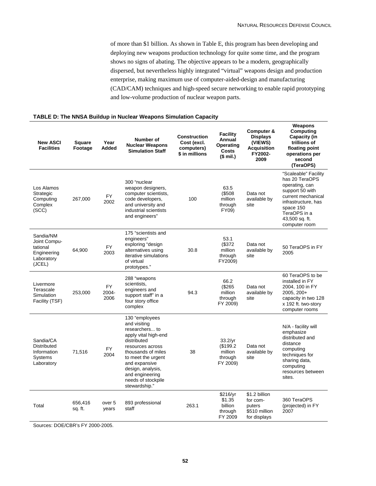of more than \$1 billion. As shown in Table E, this program has been developing and deploying new weapons production technology for quite some time, and the program shows no signs of abating. The objective appears to be a modern, geographically dispersed, but nevertheless highly integrated "virtual" weapons design and production enterprise, making maximum use of computer-aided-design and manufacturing (CAD/CAM) techniques and high-speed secure networking to enable rapid prototyping and low-volume production of nuclear weapon parts.

#### **New ASCI Facilities Square Footage Year Added Number of Nuclear Weapons Simulation Staff Construction Cost (excl. computers) \$ in millions Facility Annual Operating Costs (\$ mil.) Computer & Displays (VIEWS) Acquisition FY2002- 2009 Weapons Computing Capacity (in trillions of floating point operations per second (TeraOPS)**  Los Alamos Strategic **Computing** Complex (SCC) 267,000 FY 2002 300 "nuclear weapon designers, computer scientists, code developers, and university and industrial scientists and engineers" 100 63.5 (\$508 million through FY09) Data not available by site "Scaleable" Facility has 20 TeraOPS operating, can support 50 with current mechanical infrastructure, has space 150 TeraOPS in a 43,500 sq. ft. computer room Sandia/NM Joint Computational Engineering Laboratory (JCEL)  $64.900$  FY 2003 175 "scientists and engineers" exploring "design alternatives using iterative simulations of virtual prototypes." 30.8 53.1 (\$372 million through FY2009) Data not available by site 50 TeraOPS in FY 2005 Livermore Terascale Simulation Facility (TSF) 253,000 FY 2004- 2006 288 "weapons scientists, engineers and support staff" in a four story office complex 94.3 66.2 (\$265 million through FY 2009) Data not available by site 60 TeraOPS to be installed in FY 2004, 100 in FY 2005, 200+ capacity in two 128 x 192 ft. two-story computer rooms Sandia/CA Distributed Information Systems Laboratory  $71,516$  FY 2004 130 "employees and visiting researchers... to apply vital high-end distributed resources across thousands of miles to meet the urgent and expansive design, analysis, and engineering needs of stockpile stewardship." 38 33.2/yr (\$199.2 million through FY 2009) Data not available by site N/A - facility will emphasize distributed and distance computing techniques for sharing data, computing resources between sites. Total 656,416 sq. ft. over 5 years 893 professional  $\frac{333}{263.1}$  263.1 \$216/yr \$1.35 billion through \$1.2 billion for computers .<br>\$510 million 360 TeraOPS (projected) in FY 2007

#### **TABLE D: The NNSA Buildup in Nuclear Weapons Simulation Capacity**

Sources: DOE/CBR's FY 2000-2005.

FY 2009

for displays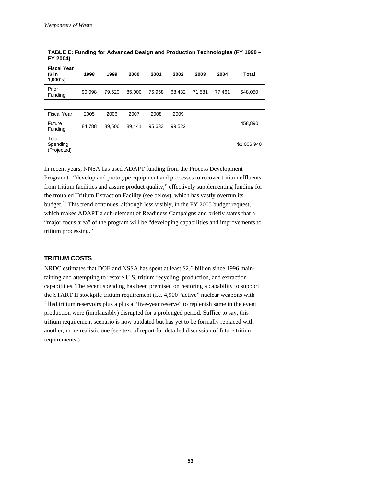| <b>Fiscal Year</b><br>(\$ in<br>1,000's | 1998   | 1999   | 2000   | 2001   | 2002   | 2003   | 2004   | Total       |
|-----------------------------------------|--------|--------|--------|--------|--------|--------|--------|-------------|
| Prior<br>Funding                        | 90.098 | 79.520 | 85.000 | 75.958 | 68.432 | 71.581 | 77.461 | 548.050     |
|                                         |        |        |        |        |        |        |        |             |
| <b>Fiscal Year</b>                      | 2005   | 2006   | 2007   | 2008   | 2009   |        |        |             |
| Future<br>Funding                       | 84.788 | 89.506 | 89,441 | 95,633 | 99,522 |        |        | 458,890     |
| Total<br>Spending<br>(Projected)        |        |        |        |        |        |        |        | \$1,006,940 |

**TABLE E: Funding for Advanced Design and Production Technologies (FY 1998 – FY 2004)** 

In recent years, NNSA has used ADAPT funding from the Process Development Program to "develop and prototype equipment and processes to recover tritium effluents from tritium facilities and assure product quality," effectively supplementing funding for the troubled Tritium Extraction Facility (see below), which has vastly overrun its budget.48 This trend continues, although less visibly, in the FY 2005 budget request, which makes ADAPT a sub-element of Readiness Campaigns and briefly states that a "major focus area" of the program will be "developing capabilities and improvements to tritium processing."

### **TRITIUM COSTS**

NRDC estimates that DOE and NSSA has spent at least \$2.6 billion since 1996 maintaining and attempting to restore U.S. tritium recycling, production, and extraction capabilities. The recent spending has been premised on restoring a capability to support the START II stockpile tritium requirement (i.e. 4,900 "active" nuclear weapons with filled tritium reservoirs plus a plus a "five-year reserve" to replenish same in the event production were (implausibly) disrupted for a prolonged period. Suffice to say, this tritium requirement scenario is now outdated but has yet to be formally replaced with another, more realistic one (see text of report for detailed discussion of future tritium requirements.)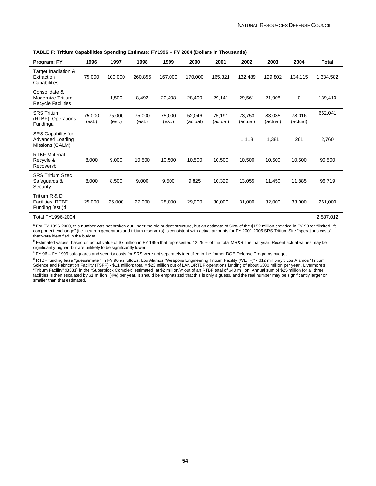| Program: FY                                                            | 1996             | 1997             | 1998             | 1999             | 2000               | 2001               | 2002               | 2003               | 2004               | Total     |
|------------------------------------------------------------------------|------------------|------------------|------------------|------------------|--------------------|--------------------|--------------------|--------------------|--------------------|-----------|
| Target Irradiation &<br>Extraction<br>Capabilities                     | 75,000           | 100,000          | 260,855          | 167,000          | 170,000            | 165,321            | 132,489            | 129,802            | 134,115            | 1,334,582 |
| Consolidate &<br><b>Modernize Tritium</b><br><b>Recycle Facilities</b> |                  | 1,500            | 8,492            | 20,408           | 28,400             | 29,141             | 29,561             | 21,908             | 0                  | 139,410   |
| <b>SRS Tritium</b><br>(RTBF) Operations<br>Fundinga                    | 75,000<br>(est.) | 75,000<br>(est.) | 75,000<br>(est.) | 75,000<br>(est.) | 52,046<br>(actual) | 75.191<br>(actual) | 73,753<br>(actual) | 83,035<br>(actual) | 78,016<br>(actual) | 662,041   |
| <b>SRS Capability for</b><br>Advanced Loading<br>Missions (CALM)       |                  |                  |                  |                  |                    |                    | 1,118              | 1,381              | 261                | 2,760     |
| <b>RTBF Material</b><br>Recycle &<br>Recoveryb                         | 8,000            | 9,000            | 10,500           | 10,500           | 10,500             | 10,500             | 10,500             | 10,500             | 10,500             | 90,500    |
| <b>SRS Tritium Sitec</b><br>Safeguards &<br>Security                   | 8,000            | 8,500            | 9,000            | 9,500            | 9,825              | 10,329             | 13,055             | 11,450             | 11,885             | 96,719    |
| Tritium R & D<br><b>Facilities, RTBF</b><br>Funding (est.)d            | 25,000           | 26,000           | 27,000           | 28,000           | 29,000             | 30,000             | 31,000             | 32,000             | 33,000             | 261,000   |
| Total FY1996-2004                                                      |                  |                  |                  |                  |                    |                    |                    |                    |                    | 2,587,012 |

**TABLE F: Tritium Capabilities Spending Estimate: FY1996 – FY 2004 (Dollars in Thousands)** 

<sup>a</sup> For FY 1996-2000, this number was not broken out under the old budget structure, but an estimate of 50% of the \$152 million provided in FY 98 for "limited life component exchange" (i.e. neutron generators and tritium reservoirs) is consistent with actual amounts for FY 2001-2005 SRS Tritium Site "operations costs" that were identified in the budget.

 $^{\rm b}$  Estimated values, based on actual value of \$7 million in FY 1995 that represented 12.25 % of the total MR&R line that year. Recent actual values may be significantly higher, but are unlikely to be significantly lower.

FY 96 – FY 1999 safeguards and security costs for SRS were not separately identified in the former DOE Defense Programs budget.

<sup>d</sup> RTBF funding base "guesstimate " in FY 96 as follows: Los Alamos "Weapons Engineering Tritium Facility (WETF)" - \$12 million/yr; Los Alamos "Tritium Science and Fabrication Facility (TSFF) - \$11 million; total = \$23 million out of LANL/RTBF operations funding of about \$300 million per year . Livermore's "Tritium Facility" (B331) in the "Superblock Complex" estimated at \$2 million/yr out of an RTBF total of \$40 million. Annual sum of \$25 million for all three facilities is then escalated by \$1 million (4%) per year. It should be emphasized that this is only a guess, and the real number may be significantly larger or smaller than that estimated.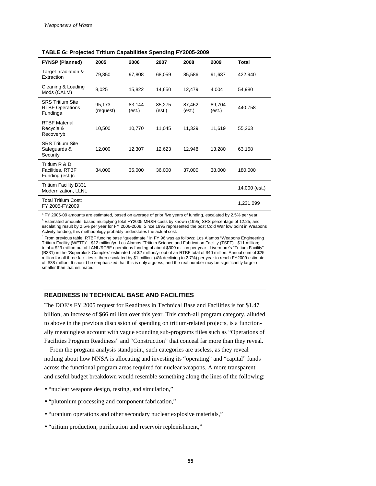| <b>FYNSP (Planned)</b>                                        | 2005                | 2006             | 2007             | 2008             | 2009             | Total         |
|---------------------------------------------------------------|---------------------|------------------|------------------|------------------|------------------|---------------|
| Target Irradiation &<br>Extraction                            | 79,850              | 97,808           | 68,059           | 85,586           | 91,637           | 422,940       |
| Cleaning & Loading<br>Mods (CALM)                             | 8,025               | 15,822           | 14,650           | 12,479           | 4,004            | 54,980        |
| <b>SRS Tritium Site</b><br><b>RTBF Operations</b><br>Fundinga | 95,173<br>(request) | 83,144<br>(est.) | 85,275<br>(est.) | 87,462<br>(est.) | 89,704<br>(est.) | 440,758       |
| <b>RTBF Material</b><br>Recycle &<br>Recoveryb                | 10,500              | 10,770           | 11,045           | 11,329           | 11,619           | 55,263        |
| <b>SRS Tritium Site</b><br>Safeguards &<br>Security           | 12,000              | 12,307           | 12,623           | 12,948           | 13,280           | 63,158        |
| Tritium R & D<br><b>Facilities, RTBF</b><br>Funding (est.)c   | 34,000              | 35,000           | 36,000           | 37,000           | 38,000           | 180,000       |
| Tritium Facility B331<br>Modernization, LLNL                  |                     |                  |                  |                  |                  | 14,000 (est.) |
| Total Tritium Cost:<br>FY 2005-FY2009                         |                     |                  |                  |                  |                  | 1,231,099     |

**TABLE G: Projected Tritium Capabilities Spending FY2005-2009** 

<sup>a</sup> FY 2006-09 amounts are estimated, based on average of prior five years of funding, escalated by 2.5% per year.

<sup>b</sup> Estimated amounts, based multiplying total FY2005 MR&R costs by known (1995) SRS percentage of 12.25, and escalating result by 2.5% per year for FY 2006-2009. Since 1995 represented the post Cold War low point in Weapons Activity funding, this methodology probably understates the actual cost.

<sup>c</sup> From previous table, RTBF funding base "guestimate " in FY 96 was as follows: Los Alamos "Weapons Engineering Tritium Facility (WETF)" - \$12 million/yr; Los Alamos "Tritium Science and Fabrication Facility (TSFF) - \$11 million; total = \$23 million out of LANL/RTBF operations funding of about \$300 million per year . Livermore's "Tritium Facility" (B331) in the "Superblock Complex" estimated at \$2 million/yr out of an RTBF total of \$40 million. Annual sum of \$25 million for all three facilities is then escalated by \$1 million (4% declining to 2.7%) per year to reach FY2009 estimate of \$38 million. It should be emphasized that this is only a guess, and the real number may be significantly larger or smaller than that estimated.

#### **READINESS IN TECHNICAL BASE AND FACILITIES**

The DOE's FY 2005 request for Readiness in Technical Base and Facilities is for \$1.47 billion, an increase of \$66 million over this year. This catch-all program category, alluded to above in the previous discussion of spending on tritium-related projects, is a functionally meaningless account with vague sounding sub-programs titles such as "Operations of Facilities Program Readiness" and "Construction" that conceal far more than they reveal.

From the program analysis standpoint, such categories are useless, as they reveal nothing about how NNSA is allocating and investing its "operating" and "capital" funds across the functional program areas required for nuclear weapons. A more transparent and useful budget breakdown would resemble something along the lines of the following:

- "nuclear weapons design, testing, and simulation,"
- "plutonium processing and component fabrication,"
- "uranium operations and other secondary nuclear explosive materials,"
- "tritium production, purification and reservoir replenishment,"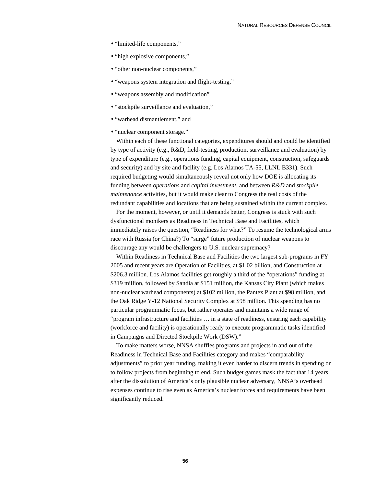- "limited-life components,"
- "high explosive components,"
- "other non-nuclear components,"
- "weapons system integration and flight-testing,"
- "weapons assembly and modification"
- "stockpile surveillance and evaluation,"
- "warhead dismantlement," and
- "nuclear component storage."

Within each of these functional categories, expenditures should and could be identified by type of activity (e.g., R&D, field-testing, production, surveillance and evaluation) by type of expenditure (e.g., operations funding, capital equipment, construction, safeguards and security) and by site and facility (e.g. Los Alamos TA-55, LLNL B331). Such required budgeting would simultaneously reveal not only how DOE is allocating its funding between *operations* and *capital investment*, and between *R&D* and *stockpile maintenance* activities, but it would make clear to Congress the real costs of the redundant capabilities and locations that are being sustained within the current complex.

For the moment, however, or until it demands better, Congress is stuck with such dysfunctional monikers as Readiness in Technical Base and Facilities, which immediately raises the question, "Readiness for what?" To resume the technological arms race with Russia (or China?) To "surge" future production of nuclear weapons to discourage any would be challengers to U.S. nuclear supremacy?

Within Readiness in Technical Base and Facilities the two largest sub-programs in FY 2005 and recent years are Operation of Facilities, at \$1.02 billion, and Construction at \$206.3 million. Los Alamos facilities get roughly a third of the "operations" funding at \$319 million, followed by Sandia at \$151 million, the Kansas City Plant (which makes non-nuclear warhead components) at \$102 million, the Pantex Plant at \$98 million, and the Oak Ridge Y-12 National Security Complex at \$98 million. This spending has no particular programmatic focus, but rather operates and maintains a wide range of "program infrastructure and facilities … in a state of readiness, ensuring each capability (workforce and facility) is operationally ready to execute programmatic tasks identified in Campaigns and Directed Stockpile Work (DSW)."

To make matters worse, NNSA shuffles programs and projects in and out of the Readiness in Technical Base and Facilities category and makes "comparability adjustments" to prior year funding, making it even harder to discern trends in spending or to follow projects from beginning to end. Such budget games mask the fact that 14 years after the dissolution of America's only plausible nuclear adversary, NNSA's overhead expenses continue to rise even as America's nuclear forces and requirements have been significantly reduced.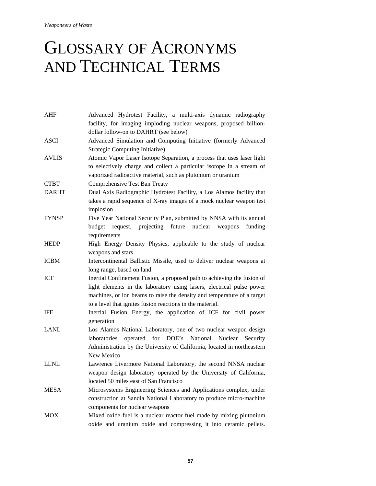*Weaponeers of Waste* 

## GLOSSARY OF ACRONYMS AND TECHNICAL TERMS

| AHF   | Advanced Hydrotest Facility, a multi-axis dynamic radiography<br>facility, for imaging imploding nuclear weapons, proposed billion- |
|-------|-------------------------------------------------------------------------------------------------------------------------------------|
|       | dollar follow-on to DAHRT (see below)                                                                                               |
| ASCI  | Advanced Simulation and Computing Initiative (formerly Advanced                                                                     |
| AVLIS | Strategic Computing Initiative)                                                                                                     |
|       | Atomic Vapor Laser Isotope Separation, a process that uses laser light                                                              |
|       | to selectively charge and collect a particular isotope in a stream of                                                               |
| CTBT  | vaporized radioactive material, such as plutonium or uranium                                                                        |
| DARHT | Comprehensive Test Ban Treaty                                                                                                       |
|       | Dual Axis Radiographic Hydrotest Facility, a Los Alamos facility that                                                               |
|       | takes a rapid sequence of X-ray images of a mock nuclear weapon test                                                                |
|       | implosion                                                                                                                           |
| FYNSP | Five Year National Security Plan, submitted by NNSA with its annual                                                                 |
|       | projecting<br>future<br>request,<br>nuclear<br>weapons<br>budget<br>funding                                                         |
|       | requirements                                                                                                                        |
| HEDP  | High Energy Density Physics, applicable to the study of nuclear                                                                     |
|       | weapons and stars                                                                                                                   |
| ICBM  | Intercontinental Ballistic Missile, used to deliver nuclear weapons at                                                              |
|       | long range, based on land                                                                                                           |
| ICF   | Inertial Confinement Fusion, a proposed path to achieving the fusion of                                                             |
|       | light elements in the laboratory using lasers, electrical pulse power                                                               |
|       | machines, or ion beams to raise the density and temperature of a target                                                             |
|       | to a level that ignites fusion reactions in the material.                                                                           |
| IFE   | Inertial Fusion Energy, the application of ICF for civil power                                                                      |
|       | generation                                                                                                                          |
| LANL  | Los Alamos National Laboratory, one of two nuclear weapon design                                                                    |
|       | DOE's<br>National<br>laboratories<br>operated<br>for<br>Nuclear<br>Security                                                         |
|       | Administration by the University of California, located in northeastern                                                             |
|       | New Mexico                                                                                                                          |
| LLNL  | Lawrence Livermore National Laboratory, the second NNSA nuclear                                                                     |
|       | weapon design laboratory operated by the University of California,                                                                  |
|       | located 50 miles east of San Francisco                                                                                              |
| MESA  | Microsystems Engineering Sciences and Applications complex, under                                                                   |
|       | construction at Sandia National Laboratory to produce micro-machine                                                                 |
|       | components for nuclear weapons                                                                                                      |
| MOX   | Mixed oxide fuel is a nuclear reactor fuel made by mixing plutonium                                                                 |
|       | oxide and uranium oxide and compressing it into ceramic pellets.                                                                    |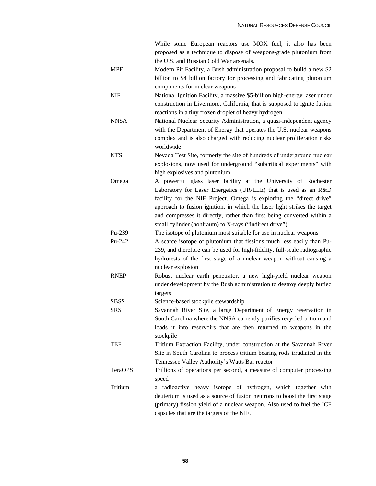|             | While some European reactors use MOX fuel, it also has been               |
|-------------|---------------------------------------------------------------------------|
|             | proposed as a technique to dispose of weapons-grade plutonium from        |
|             | the U.S. and Russian Cold War arsenals.                                   |
| <b>MPF</b>  | Modern Pit Facility, a Bush administration proposal to build a new \$2    |
|             | billion to \$4 billion factory for processing and fabricating plutonium   |
|             | components for nuclear weapons                                            |
| <b>NIF</b>  | National Ignition Facility, a massive \$5-billion high-energy laser under |
|             | construction in Livermore, California, that is supposed to ignite fusion  |
|             | reactions in a tiny frozen droplet of heavy hydrogen                      |
| <b>NNSA</b> | National Nuclear Security Administration, a quasi-independent agency      |
|             | with the Department of Energy that operates the U.S. nuclear weapons      |
|             | complex and is also charged with reducing nuclear proliferation risks     |
|             | worldwide                                                                 |
| <b>NTS</b>  | Nevada Test Site, formerly the site of hundreds of underground nuclear    |
|             | explosions, now used for underground "subcritical experiments" with       |
|             | high explosives and plutonium                                             |
| Omega       | A powerful glass laser facility at the University of Rochester            |
|             | Laboratory for Laser Energetics (UR/LLE) that is used as an R&D           |
|             | facility for the NIF Project. Omega is exploring the "direct drive"       |
|             | approach to fusion ignition, in which the laser light strikes the target  |
|             | and compresses it directly, rather than first being converted within a    |
|             | small cylinder (hohlraum) to X-rays ("indirect drive")                    |
| $Pu-239$    | The isotope of plutonium most suitable for use in nuclear weapons         |
| Pu-242      | A scarce isotope of plutonium that fissions much less easily than Pu-     |
|             | 239, and therefore can be used for high-fidelity, full-scale radiographic |
|             | hydrotests of the first stage of a nuclear weapon without causing a       |
|             | nuclear explosion                                                         |
| <b>RNEP</b> | Robust nuclear earth penetrator, a new high-yield nuclear weapon          |
|             | under development by the Bush administration to destroy deeply buried     |
|             | targets                                                                   |
| SBSS        | Science-based stockpile stewardship                                       |
| <b>SRS</b>  | Savannah River Site, a large Department of Energy reservation in          |
|             | South Carolina where the NNSA currently purifies recycled tritium and     |
|             | loads it into reservoirs that are then returned to weapons in the         |
|             | stockpile                                                                 |
| TEF         | Tritium Extraction Facility, under construction at the Savannah River     |
|             | Site in South Carolina to process tritium bearing rods irradiated in the  |
|             | Tennessee Valley Authority's Watts Bar reactor                            |
| TeraOPS     | Trillions of operations per second, a measure of computer processing      |
|             | speed                                                                     |
| Tritium     | a radioactive heavy isotope of hydrogen, which together with              |
|             | deuterium is used as a source of fusion neutrons to boost the first stage |
|             | (primary) fission yield of a nuclear weapon. Also used to fuel the ICF    |
|             | capsules that are the targets of the NIF.                                 |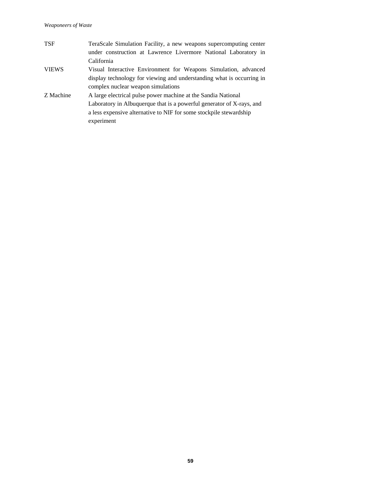| <b>TSF</b>   | TeraScale Simulation Facility, a new weapons supercomputing center    |
|--------------|-----------------------------------------------------------------------|
|              | under construction at Lawrence Livermore National Laboratory in       |
|              | California                                                            |
| <b>VIEWS</b> | Visual Interactive Environment for Weapons Simulation, advanced       |
|              | display technology for viewing and understanding what is occurring in |
|              | complex nuclear weapon simulations                                    |
| Z Machine    | A large electrical pulse power machine at the Sandia National         |
|              | Laboratory in Albuquerque that is a powerful generator of X-rays, and |
|              | a less expensive alternative to NIF for some stockpile stewardship    |
|              | experiment                                                            |
|              |                                                                       |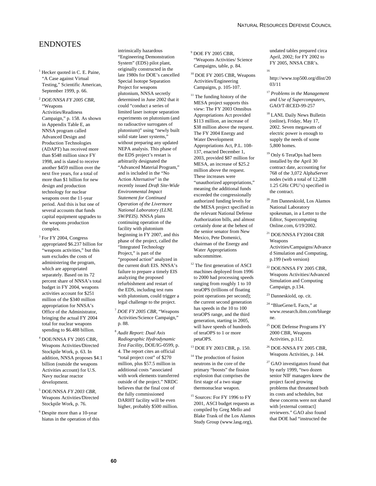## ENDNOTES

- <sup>1</sup> Hecker quoted in C. E. Paine, "A Case against Virtual Testing," Scientific American, September 1999, p. 66.
- <sup>2</sup> *DOE/NNSA FY 2005 CBR*, "Weapons Activities/Readiness Campaign," p. 158. As shown in Appendix Table E, an NNSA program called Advanced Design and Production Technologies (ADAPT) has received more than \$548 million since FY 1998, and is slated to receive another \$459 million over the next five years, for a total of more than \$1 billion for new design and production technology for nuclear weapons over the 11-year period. And this is but one of several accounts that funds capital equipment upgrades to the weapons production complex.
- <sup>3</sup> For FY 2004, Congress appropriated \$6.237 billion for "weapons activities," but this sum excludes the costs of administering the program, which are appropriated separately. Based on its 72 percent share of NNSA's total budget in FY 2004, weapons activities account for \$251 million of the \$340 million appropriation for NNSA's Office of the Administrator, bringing the actual FY 2004 total for nuclear weapons spending to \$6.488 billion.
- 4 DOE/NNSA FY 2005 CBR, Weapons Activities/Directed Stockpile Work, p. 63. In addition, NNSA proposes \$4.1 billion (outside the weapons Activities account) for U.S. Navy nuclear reactor development.
- 5 DOE/NNSA *FY 2003 CBR*, Weapons Activities/Directed Stockpile Work, p. 76.
- 6 Despite more than a 10-year hiatus in the operation of this

intrinsically hazardous "Engineering Demonstration System" (EDS) pilot plant, originally constructed in the late 1980s for DOE's cancelled Special Isotope Separation Project for weapons plutonium, NNSA secretly determined in June 2002 that it could "conduct a series of limited laser isotope separation experiments on plutonium (and no radioactive surrogates of plutonium)" using "newly built solid state laser systems," without preparing any updated NEPA analysis. This phase of the EDS project's restart is arbitrarily designated the "Advanced Material Program," and is included in the "No Action Alternative" in the recently issued *Draft Site-Wide Environmental Impact Statement for Continued Operation of the Livermore National Laboratory (LLNL SW/PEIS)*. NNSA plans continuing operation of the facility with plutonium beginning in FY 2007, and this phase of the project, called the "Integrated Technology Project," is part of the "proposed action" analyzed in the current draft EIS. NNSA's failure to prepare a timely EIS analyzing the proposed refurbishment and restart of the EDS, including test runs with plutonium, could trigger a legal challenge to the project.

- <sup>7</sup> *DOE FY 2005 CBR*, "Weapons Activities/Science Campaign," p. 88.
- <sup>8</sup> *Audit Report: Dual Axis Radiographic Hydrodynamic Test Facility*, DOE/IG-0599, p. 4. The report cites an official "total project cost" of \$270 million, plus \$57.5 million in additional costs "associated with work elements transferred outside of the project." NRDC believes that the final cost of the fully commissioned DARHT facility will be even higher, probably \$500 million.
- 9 DOE FY 2005 CBR, "Weapons Activities/ Science Campaigns, table, p. 84.
- 10 DOE FY 2005 CBR, Weapons Activities/Engineering Campaigns, p. 105-107.

 $^{11}$  The funding history of the  $\,$ MESA project supports this view: The FY 2003 Omnibus Appropriations Act provided \$113 million, an increase of \$38 million above the request. The FY 2004 Energy and Water Development Appropriations Act, P.L. 108- 137, enacted December 1, 2003, provided \$87 million for MESA, an increase of \$25.2 million above the request. These increases were "unauthorized appropriations," meaning the additional funds exceeded the congressionally authorized funding levels for the MESA project specified in the relevant National Defense Authorization bills, and almost certainly done at the behest of the senior senator from New Mexico, Pete Domenici, chairman of the Energy and Water Appropriations subcommittee.

- <sup>12</sup> The first generation of ASCI machines deployed from 1996 to 2000 had processing speeds ranging from roughly 1 to 10 teraOPS (trillions of floating point operations per second); the current second generation has speeds in the 10 to 100 teraOPS range, and the third generation, starting in 2005, will have speeds of hundreds of teraOPS to 1 or more petaOPS.
- 13 DOE FY 2003 CBR, p. 150.
- <sup>14</sup> The production of fusion neutrons in the core of the primary "boosts" the fission explosion that comprises the first stage of a two stage thermonuclear weapon.
- <sup>15</sup> Sources: For FY 1996 to FY 2001, ASCI budget requests as compiled by Greg Mello and Blake Trask of the Los Alamos Study Group (www.lasg.org),

undated tables prepared circa April, 2002; for FY 2002 to FY 2005, NNSA CBR's.

- 16
	- http://www.top500.org/dlist/20 03/11
- <sup>17</sup> *Problems in the Management and Use of Supercomputers,*  GAO/T-RCED-99-257
- 18 LANL Daily News Bulletin (online), Friday, May 17, 2002. Seven megawatts of electric power is enough to supply the needs of some 5,800 homes.
- 19 Only 6 TeraOps had been installed by the April 30 contract date, accounting for 768 of the 3,072 AlphaServer nodes (with a total of 12,288 1.25 GHz CPU's) specified in the contract.
- 20 Jim Danneskiold, Los Alamos National Laboratory spokesman, in a Letter to the Editor, Supercomputing Online.com, 6/19/2002.
- 21 DOE/NNSA FY2004 CBR Weapons Activities/Campaigns/Advance d Simulation and Computing, p.199 (web version)
- $^\mathrm{22}$  DOE/NNSA FY 2005 CBR, Weapons Activities/Advanced Simulation and Computing Campaign, p.134.
- <sup>23</sup> Danneskiold, op. cit.
- <sup>24</sup> "BlueGene/L Facts," at www.research.ibm.com/bluege ne.
- $^{25}$  DOE Defense Programs  ${\rm FY}$ 2000 CBR, Weapons Activities, p.112.
- 26 DOE-NNSA FY 2005 CBR, Weapons Activities, p. 144.
- 27 GAO investigators found that by early 1999, "two dozen senior NIF managers knew the project faced growing problems that threatened both its costs and schedules, but these concerns were not shared with [external contract] reviewers." GAO also found that DOE had "instructed the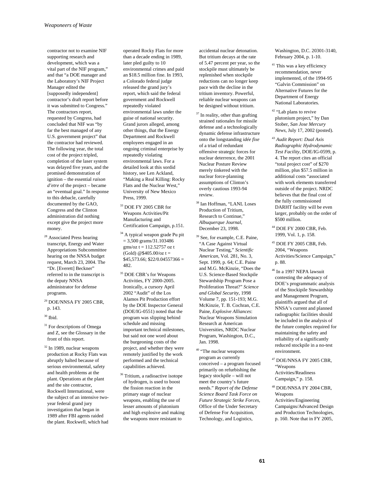contractor not to examine NIF supporting research and development, which was a vital part of the NIF program," and that "a DOE manager and the Laboratory's NIF Project Manager edited the [supposedly independent] contractor's draft report before it was submitted to Congress." The contractors report, requested by Congress, had concluded that NIF was "by far the best managed of any U.S. government project" that the contractor had reviewed. The following year, the total cost of the project tripled, completion of the laser system was delayed five years, and the promised demonstration of ignition – the essential *raison d'etre* of the project – became an "eventual goal." In response to this debacle, carefully documented by the GAO, Congress and the Clinton administration did nothing except give the project more money.

- <sup>28</sup> Associated Press hearing transcript, Energy and Water Appropriations Subcommittee hearing on the NNSA budget request, March 23, 2004. The "Dr. [Everett] Beckner" referred to in the transcript is the deputy NNSA administrator for defense programs.
- 29 DOE/NNSA FY 2005 CBR, p. 143.
- $^{30}$  Ibid.
- <sup>31</sup> For descriptions of Omega and Z, see the Glossary in the front of this report.
- 32 In 1989, nuclear weapons production at Rocky Flats was abruptly halted because of serious environmental, safety and health problems at the plant. Operations at the plant and the site contractor, Rockwell International, were the subject of an intensive twoyear federal grand jury investigation that began in 1989 after FBI agents raided the plant. Rockwell, which had

operated Rocky Flats for more than a decade ending in 1989, later pled guilty to 10 environmental crimes and paid an \$18.5 million fine. In 1993, a Colorado federal judge released the grand jury's report, which said the federal government and Rockwell repeatedly violated environmental laws under the guise of national security. Grand jurors alleged, among other things, that the Energy Department and Rockwell employees engaged in an ongoing criminal enterprise by repeatedly violating environmental laws. For a detailed look at this sordid history, see Len Ackland, "Making a Real Killing: Rocky Flats and the Nuclear West," University of New Mexico Press, 1999.

- 33 DOE FY 2005 CBR for Weapons Activities/Pit Manufacturing and Certification Campaign, p.151.
- 34 A typical weapon grade Pu pit  $= 3,500$  grams/31.103486 gms/oz  $t = 112.52757$  oz t (Gold) @\$405.00/oz t =  $$45,573.66; $22/0.04557366 =$ 482.
- 35 DOE CBR's for Weapons Activities, FY 2000-2005. Ironically, a cursory April 2002 "Audit" of the Los Alamos Pit Production effort by the DOE Inspector General (DOE/IG-0551) noted that the program was slipping behind schedule and missing important technical milestones, but said not one word about the burgeoning costs of the project, and whether they were remotely justified by the work performed and the technical capabilities achieved.
- <sup>36</sup> Tritium, a radioactive isotope of hydrogen, is used to boost the fission reaction in the primary stage of nuclear weapons, enabling the use of lesser amounts of plutonium and high explosive and making the weapons more resistant to

accidental nuclear detonation. But tritium decays at the rate of 5.47 percent per year, so the stockpile must ultimately be replenished when stockpile reductions can no longer keep pace with the decline in the tritium inventory. Powerful, reliable nuclear weapons can be designed without tritium.

- <sup>37</sup> In reality, other than grafting strained rationales for missile defense and a technologically dynamic defense infrastructure onto the longstanding *idée fixe* of a triad of redundant offensive strategic forces for nuclear deterrence, the 2001 Nuclear Posture Review merely tinkered with the nuclear force-planning assumptions of Clinton's overly cautious 1993-94 review.
- 38 Ian Hoffman, "LANL Loses Production of Tritium, Research to Continue," *Albuquerque Journal*, December 23, 1998.
- 39 See, for example, C.E. Paine, "A Case Against Virtual Nuclear Testing," *Scientific American*, Vol. 281, No. 3, Sept. 1999, p. 64; C.E. Paine and M.G. McKinzie, "Does the U.S. Science-Based Stockpile Stewardship Program Pose a Proliferation Threat?" *Science and Global Security*, 1998 Volume 7, pp. 151-193; M.G. McKinzie, T. B. Cochran, C.E. Paine, *Explosive Alliances*: Nuclear Weapons Simulation Research at American Universities, NRDC Nuclear Program, Washington, D.C., Jan. 1998.
- <sup>40</sup> "The nuclear weapons program as currently conceived – a program focused primarily on refurbishing the legacy stockpile – will not meet the country's future needs." *Report of the Defense Science Board Task Force on Future Strategic Strike Forces*, Office of the Under Secretary of Defense For Acquisition, Technology, and Logistics,

Washington, D.C. 20301-3140, February 2004, p. 1-10.

- <sup>41</sup> This was a key efficiency recommendation, never implemented, of the 1994-95 "Galvin Commission" on Alternative Futures for the Department of Energy National Laboratories.
- <sup>42</sup> "Lab plans to revive plutonium project," by Dan Stober*, San Jose Mercury News*, July 17, 2002 (posted).
- <sup>43</sup> *Audit Report: Dual Axis Radiographic Hydrodynamic Test Facility*, DOE/IG-0599, p. 4. The report cites an official "total project cost" of \$270 million, plus \$57.5 million in additional costs "associated with work elements transferred outside of the project. NRDC believes that the final cost of the fully commissioned DARHT facility will be even larger, probably on the order of \$500 million.
- 44 DOE FY 2000 CBR, Feb. 1999, Vol. 1, p. 158.
- 45 DOE FY 2005 CBR, Feb. 2004, "Weapons Activities/Science Campaign," p. 88.
- $\rm ^{46}$  In a 1997 NEPA lawsuit contesting the adequacy of DOE's programmatic analysis of the Stockipile Stewardship and Management Program, plaintiffs argued that all of NNSA's current and planned radiographic facilities should be included in the analysis of the future complex required for maintaining the safety and reliability of a significantly reduced stockpile in a no-test environment.
- $\rm ^{47}$  DOE/NNSA FY 2005 CBR, "Weapons Activities/Readiness Campaign," p. 158.
- $^{48}$  DOE/NNSA FY 2004 CBR,  $\,$ **Weapons** Activities/Engineering Campaigns/Advanced Design and Production Technologies, p. 160. Note that in FY 2005,